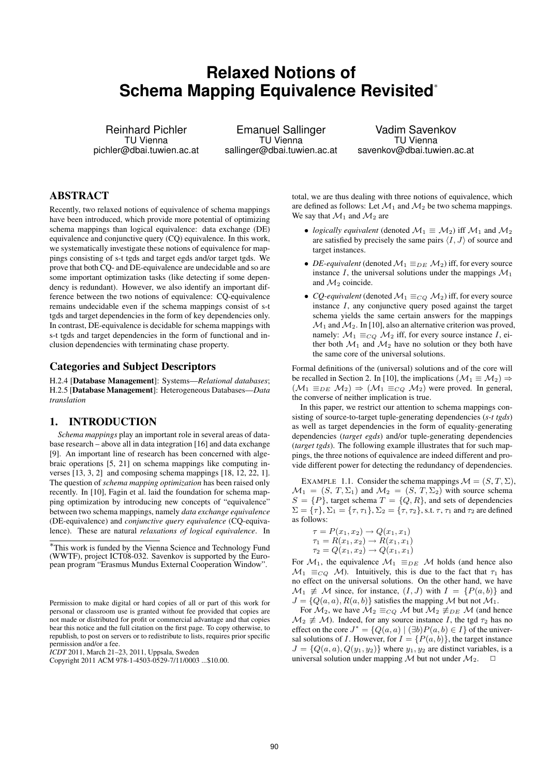# **Relaxed Notions of Schema Mapping Equivalence Revisited**<sup>∗</sup>

Reinhard Pichler TU Vienna pichler@dbai.tuwien.ac.at

Emanuel Sallinger TU Vienna sallinger@dbai.tuwien.ac.at

Vadim Savenkov TU Vienna savenkov@dbai.tuwien.ac.at

## ABSTRACT

Recently, two relaxed notions of equivalence of schema mappings have been introduced, which provide more potential of optimizing schema mappings than logical equivalence: data exchange (DE) equivalence and conjunctive query (CQ) equivalence. In this work, we systematically investigate these notions of equivalence for mappings consisting of s-t tgds and target egds and/or target tgds. We prove that both CQ- and DE-equivalence are undecidable and so are some important optimization tasks (like detecting if some dependency is redundant). However, we also identify an important difference between the two notions of equivalence: CQ-equivalence remains undecidable even if the schema mappings consist of s-t tgds and target dependencies in the form of key dependencies only. In contrast, DE-equivalence is decidable for schema mappings with s-t tgds and target dependencies in the form of functional and inclusion dependencies with terminating chase property.

#### Categories and Subject Descriptors

H.2.4 [Database Management]: Systems—*Relational databases*; H.2.5 [Database Management]: Heterogeneous Databases—*Data translation*

#### 1. INTRODUCTION

*Schema mappings* play an important role in several areas of database research – above all in data integration [16] and data exchange [9]. An important line of research has been concerned with algebraic operations [5, 21] on schema mappings like computing inverses [13, 3, 2] and composing schema mappings [18, 12, 22, 1]. The question of *schema mapping optimization* has been raised only recently. In [10], Fagin et al. laid the foundation for schema mapping optimization by introducing new concepts of "equivalence" between two schema mappings, namely *data exchange equivalence* (DE-equivalence) and *conjunctive query equivalence* (CQ-equivalence). These are natural *relaxations of logical equivalence*. In

*ICDT* 2011, March 21–23, 2011, Uppsala, Sweden

total, we are thus dealing with three notions of equivalence, which are defined as follows: Let  $\mathcal{M}_1$  and  $\mathcal{M}_2$  be two schema mappings. We say that  $\mathcal{M}_1$  and  $\mathcal{M}_2$  are

- *logically equivalent* (denoted  $M_1 \equiv M_2$ ) iff  $M_1$  and  $M_2$ are satisfied by precisely the same pairs  $\langle I, J \rangle$  of source and target instances.
- *DE-equivalent* (denoted  $\mathcal{M}_1 \equiv_{DE} \mathcal{M}_2$ ) iff, for every source instance I, the universal solutions under the mappings  $\mathcal{M}_1$ and  $\mathcal{M}_2$  coincide.
- *CQ-equivalent* (denoted  $M_1 \equiv_{CQ} M_2$ ) iff, for every source instance I, any conjunctive query posed against the target schema yields the same certain answers for the mappings  $\mathcal{M}_1$  and  $\mathcal{M}_2$ . In [10], also an alternative criterion was proved, namely:  $\mathcal{M}_1 \equiv_{CQ} \mathcal{M}_2$  iff, for every source instance *I*, either both  $\mathcal{M}_1$  and  $\mathcal{M}_2$  have no solution or they both have the same core of the universal solutions.

Formal definitions of the (universal) solutions and of the core will be recalled in Section 2. In [10], the implications ( $\mathcal{M}_1 \equiv \mathcal{M}_2$ )  $\Rightarrow$  $(\mathcal{M}_1 \equiv_{DE} \mathcal{M}_2) \Rightarrow (\mathcal{M}_1 \equiv_{CQ} \mathcal{M}_2)$  were proved. In general, the converse of neither implication is true.

In this paper, we restrict our attention to schema mappings consisting of source-to-target tuple-generating dependencies (*s-t tgds*) as well as target dependencies in the form of equality-generating dependencies (*target egds*) and/or tuple-generating dependencies (*target tgds*). The following example illustrates that for such mappings, the three notions of equivalence are indeed different and provide different power for detecting the redundancy of dependencies.

EXAMPLE 1.1. Consider the schema mappings  $\mathcal{M} = (S, T, \Sigma)$ ,  $\mathcal{M}_1 = (S, T, \Sigma_1)$  and  $\mathcal{M}_2 = (S, T, \Sigma_2)$  with source schema  $S = \{P\}$ , target schema  $T = \{Q, R\}$ , and sets of dependencies  $\Sigma = {\tau, \Sigma_1 = {\tau, \tau_1}, \Sigma_2 = {\tau, \tau_2}, \text{ s.t. } \tau, \tau_1 \text{ and } \tau_2 \text{ are defined}}$ as follows:

$$
\tau = P(x_1, x_2) \rightarrow Q(x_1, x_1) \n\tau_1 = R(x_1, x_2) \rightarrow R(x_1, x_1) \n\tau_2 = Q(x_1, x_2) \rightarrow Q(x_1, x_1)
$$

For  $\mathcal{M}_1$ , the equivalence  $\mathcal{M}_1 \equiv_{DE} \mathcal{M}$  holds (and hence also  $M_1 \equiv_{CQ} M$ ). Intuitively, this is due to the fact that  $\tau_1$  has no effect on the universal solutions. On the other hand, we have  $\mathcal{M}_1 \not\equiv \mathcal{M}$  since, for instance,  $(I, J)$  with  $I = \{P(a, b)\}\$ and  $J = \{Q(a, a), R(a, b)\}\$  satisfies the mapping M but not  $\mathcal{M}_1$ .

For  $M_2$ , we have  $M_2 \equiv_{CO} M$  but  $M_2 \not\equiv_{DE} M$  (and hence  $M_2 \neq M$ ). Indeed, for any source instance I, the tgd  $\tau_2$  has no effect on the core  $J^* = \{Q(a, a) | (\exists b) P(a, b) \in I\}$  of the universal solutions of I. However, for  $I = \{P(a, b)\}\,$ , the target instance  $J = \{Q(a, a), Q(y_1, y_2)\}\$  where  $y_1, y_2$  are distinct variables, is a universal solution under mapping  $M$  but not under  $M_2$ .  $\Box$ 

<sup>∗</sup>This work is funded by the Vienna Science and Technology Fund (WWTF), project ICT08-032. Savenkov is supported by the European program "Erasmus Mundus External Cooperation Window".

Permission to make digital or hard copies of all or part of this work for personal or classroom use is granted without fee provided that copies are not made or distributed for profit or commercial advantage and that copies bear this notice and the full citation on the first page. To copy otherwise, to republish, to post on servers or to redistribute to lists, requires prior specific permission and/or a fee.

Copyright 2011 ACM 978-1-4503-0529-7/11/0003 ...\$10.00.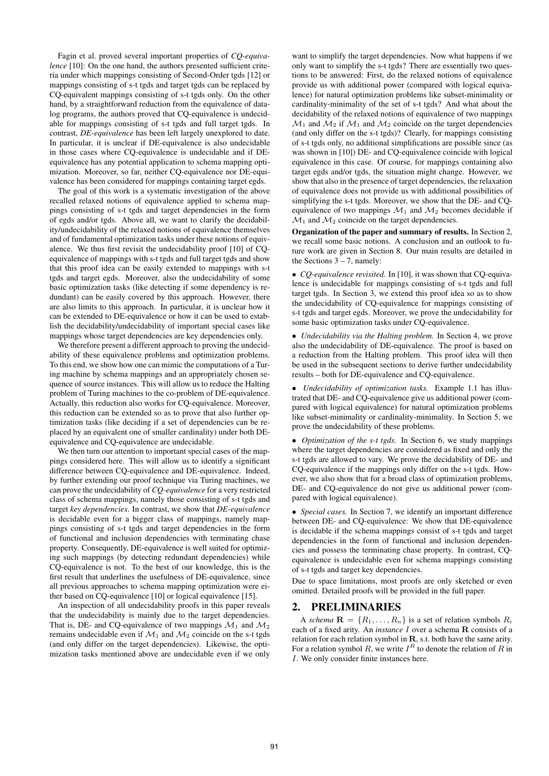Fagin et al. proved several important properties of *CQ-equivalence* [10]: On the one hand, the authors presented sufficient criteria under which mappings consisting of Second-Order tgds [12] or mappings consisting of s-t tgds and target tgds can be replaced by CQ-equivalent mappings consisting of s-t tgds only. On the other hand, by a straightforward reduction from the equivalence of datalog programs, the authors proved that CQ-equivalence is undecidable for mappings consisting of s-t tgds and full target tgds. In contrast, *DE-equivalence* has been left largely unexplored to date. In particular, it is unclear if DE-equivalence is also undecidable in those cases where CQ-equivalence is undecidable and if DEequivalence has any potential application to schema mapping optimization. Moreover, so far, neither CQ-equivalence nor DE-equivalence has been considered for mappings containing target egds.

The goal of this work is a systematic investigation of the above recalled relaxed notions of equivalence applied to schema mappings consisting of s-t tgds and target dependencies in the form of egds and/or tgds. Above all, we want to clarify the decidability/undecidability of the relaxed notions of equivalence themselves and of fundamental optimization tasks under these notions of equivalence. We thus first revisit the undecidability proof [10] of CQequivalence of mappings with s-t tgds and full target tgds and show that this proof idea can be easily extended to mappings with s-t tgds and target egds. Moreover, also the undecidability of some basic optimization tasks (like detecting if some dependency is redundant) can be easily covered by this approach. However, there are also limits to this approach. In particular, it is unclear how it can be extended to DE-equivalence or how it can be used to establish the decidability/undecidability of important special cases like mappings whose target dependencies are key dependencies only.

We therefore present a different approach to proving the undecidability of these equivalence problems and optimization problems. To this end, we show how one can mimic the computations of a Turing machine by schema mappings and an appropriately chosen sequence of source instances. This will allow us to reduce the Halting problem of Turing machines to the co-problem of DE-equivalence. Actually, this reduction also works for CQ-equivalence. Moreover, this reduction can be extended so as to prove that also further optimization tasks (like deciding if a set of dependencies can be replaced by an equivalent one of smaller cardinality) under both DEequivalence and CQ-equivalence are undecidable.

We then turn our attention to important special cases of the mappings considered here. This will allow us to identify a significant difference between CQ-equivalence and DE-equivalence. Indeed, by further extending our proof technique via Turing machines, we can prove the undecidability of *CQ-equivalence* for a very restricted class of schema mappings, namely those consisting of s-t tgds and target *key dependencies*. In contrast, we show that *DE-equivalence* is decidable even for a bigger class of mappings, namely mappings consisting of s-t tgds and target dependencies in the form of functional and inclusion dependencies with terminating chase property. Consequently, DE-equivalence is well suited for optimizing such mappings (by detecting redundant dependencies) while CQ-equivalence is not. To the best of our knowledge, this is the first result that underlines the usefulness of DE-equivalence, since all previous approaches to schema mapping optimization were either based on CQ-equivalence [10] or logical equivalence [15].

An inspection of all undecidability proofs in this paper reveals that the undecidability is mainly due to the target dependencies. That is, DE- and CQ-equivalence of two mappings  $\mathcal{M}_1$  and  $\mathcal{M}_2$ remains undecidable even if  $M_1$  and  $M_2$  coincide on the s-t tgds (and only differ on the target dependencies). Likewise, the optimization tasks mentioned above are undecidable even if we only

want to simplify the target dependencies. Now what happens if we only want to simplify the s-t tgds? There are essentially two questions to be answered: First, do the relaxed notions of equivalence provide us with additional power (compared with logical equivalence) for natural optimization problems like subset-minimality or cardinality-minimality of the set of s-t tgds? And what about the decidability of the relaxed notions of equivalence of two mappings  $\mathcal{M}_1$  and  $\mathcal{M}_2$  if  $\mathcal{M}_1$  and  $\mathcal{M}_2$  coincide on the target dependencies (and only differ on the s-t tgds)? Clearly, for mappings consisting of s-t tgds only, no additional simplifications are possible since (as was shown in [10]) DE- and CQ-equivalence coincide with logical equivalence in this case. Of course, for mappings containing also target egds and/or tgds, the situation might change. However, we show that also in the presence of target dependencies, the relaxation of equivalence does not provide us with additional possibilities of simplifying the s-t tgds. Moreover, we show that the DE- and CQequivalence of two mappings  $\mathcal{M}_1$  and  $\mathcal{M}_2$  becomes decidable if  $\mathcal{M}_1$  and  $\mathcal{M}_2$  coincide on the target dependencies.

Organization of the paper and summary of results. In Section 2, we recall some basic notions. A conclusion and an outlook to future work are given in Section 8. Our main results are detailed in the Sections  $3 - 7$ , namely:

• *CQ-equivalence revisited.* In [10], it was shown that CQ-equivalence is undecidable for mappings consisting of s-t tgds and full target tgds. In Section 3, we extend this proof idea so as to show the undecidability of CQ-equivalence for mappings consisting of s-t tgds and target egds. Moreover, we prove the undecidability for some basic optimization tasks under CQ-equivalence.

• *Undecidability via the Halting problem.* In Section 4, we prove also the undecidability of DE-equivalence. The proof is based on a reduction from the Halting problem. This proof idea will then be used in the subsequent sections to derive further undecidability results – both for DE-equivalence and CQ-equivalence.

• *Undecidability of optimization tasks.* Example 1.1 has illustrated that DE- and CQ-equivalence give us additional power (compared with logical equivalence) for natural optimization problems like subset-minimality or cardinality-minimality. In Section 5, we prove the undecidability of these problems.

• *Optimization of the s-t tgds.* In Section 6, we study mappings where the target dependencies are considered as fixed and only the s-t tgds are allowed to vary. We prove the decidability of DE- and CQ-equivalence if the mappings only differ on the s-t tgds. However, we also show that for a broad class of optimization problems, DE- and CQ-equivalence do not give us additional power (compared with logical equivalence).

• *Special cases.* In Section 7, we identify an important difference between DE- and CQ-equivalence: We show that DE-equivalence is decidable if the schema mappings consist of s-t tgds and target dependencies in the form of functional and inclusion dependencies and possess the terminating chase property. In contrast, CQequivalence is undecidable even for schema mappings consisting of s-t tgds and target key dependencies.

Due to space limitations, most proofs are only sketched or even omitted. Detailed proofs will be provided in the full paper.

## 2. PRELIMINARIES

A *schema*  $\mathbf{R} = \{R_1, \ldots, R_n\}$  is a set of relation symbols  $R_i$ each of a fixed arity. An *instance* I over a schema R consists of a relation for each relation symbol in R, s.t. both have the same arity. For a relation symbol R, we write  $I^R$  to denote the relation of R in I. We only consider finite instances here.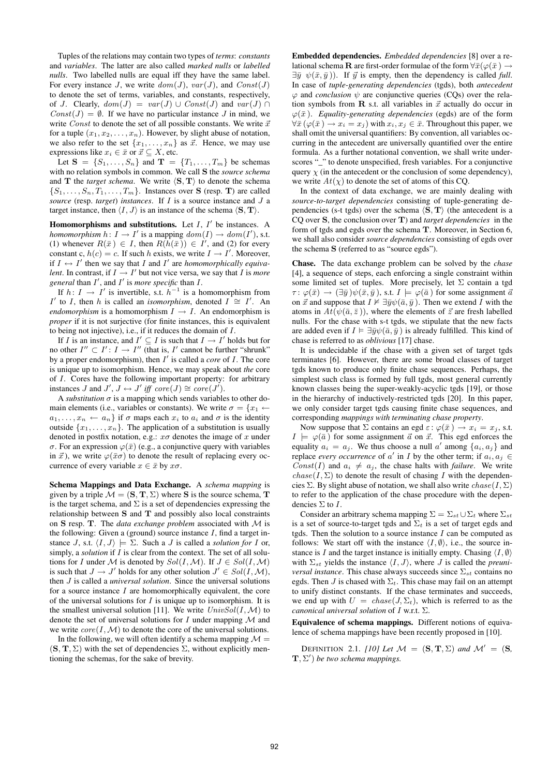Tuples of the relations may contain two types of *terms*: *constants* and *variables*. The latter are also called *marked nulls* or *labelled nulls*. Two labelled nulls are equal iff they have the same label. For every instance J, we write  $dom(J)$ ,  $var(J)$ , and  $Const(J)$ to denote the set of terms, variables, and constants, respectively, of J. Clearly,  $dom(J) = var(J) \cup Const(J)$  and  $var(J) \cap$  $Const(J) = \emptyset$ . If we have no particular instance J in mind, we write *Const* to denote the set of all possible constants. We write  $\vec{x}$ for a tuple  $(x_1, x_2, \ldots, x_n)$ . However, by slight abuse of notation, we also refer to the set  $\{x_1, \ldots, x_n\}$  as  $\vec{x}$ . Hence, we may use expressions like  $x_i \in \bar{x}$  or  $\vec{x} \subseteq X$ , etc.

Let  $S = \{S_1, \ldots, S_n\}$  and  $T = \{T_1, \ldots, T_m\}$  be schemas with no relation symbols in common. We call S the *source schema* and **T** the *target schema*. We write  $\langle S, T \rangle$  to denote the schema  $\{S_1, \ldots, S_n, T_1, \ldots, T_m\}$ . Instances over **S** (resp. **T**) are called *source* (resp. *target*) *instances*. If I is a source instance and J a target instance, then  $\langle I, J \rangle$  is an instance of the schema  $\langle S, T \rangle$ .

Homomorphisms and substitutions. Let  $I$ ,  $I'$  be instances. A *homomorphism*  $h: I \to I'$  is a mapping  $dom(I) \to dom(I'),$  s.t. (1) whenever  $R(\bar{x}) \in I$ , then  $R(h(\bar{x})) \in I'$ , and (2) for every constant c,  $h(c) = c$ . If such h exists, we write  $I \rightarrow I'$ . Moreover, if  $I \leftrightarrow I'$  then we say that I and I' are *homomorphically equivalent*. In contrast, if  $I \rightarrow I'$  but not vice versa, we say that I is *more general* than  $I'$ , and  $I'$  is *more specific* than  $I$ .

If  $h: I \to I'$  is invertible, s.t.  $h^{-1}$  is a homomorphism from  $I'$  to *I*, then *h* is called an *isomorphism*, denoted  $I \cong I'$ . An *endomorphism* is a homomorphism  $I \rightarrow I$ . An endomorphism is *proper* if it is not surjective (for finite instances, this is equivalent to being not injective), i.e., if it reduces the domain of I.

If I is an instance, and  $I' \subseteq I$  is such that  $I \to I'$  holds but for no other  $I'' \subset I' : I \to I''$  (that is, I' cannot be further "shrunk" by a proper endomorphism), then  $I'$  is called a *core* of  $I$ . The core is unique up to isomorphism. Hence, we may speak about *the* core of I. Cores have the following important property: for arbitrary instances *J* and *J'*,  $J \leftrightarrow J'$  iff core $(J) \cong core(J')$ .

A *substitution*  $\sigma$  is a mapping which sends variables to other domain elements (i.e., variables or constants). We write  $\sigma = \{x_1 \leftarrow$  $a_1, \ldots, x_n \leftarrow a_n$  if  $\sigma$  maps each  $x_i$  to  $a_i$  and  $\sigma$  is the identity outside  $\{x_1, \ldots, x_n\}$ . The application of a substitution is usually denoted in postfix notation, e.g.:  $x\sigma$  denotes the image of x under σ. For an expression  $\varphi(\bar{x})$  (e.g., a conjunctive query with variables in  $\vec{x}$ ), we write  $\varphi(\bar{x}\sigma)$  to denote the result of replacing every occurrence of every variable  $x \in \bar{x}$  by  $x\sigma$ .

Schema Mappings and Data Exchange. A *schema mapping* is given by a triple  $\mathcal{M} = (\mathbf{S}, \mathbf{T}, \Sigma)$  where **S** is the source schema, **T** is the target schema, and  $\Sigma$  is a set of dependencies expressing the relationship between S and T and possibly also local constraints on S resp. T. The *data exchange problem* associated with M is the following: Given a (ground) source instance  $I$ , find a target instance J, s.t.  $\langle I, J \rangle \models \Sigma$ . Such a J is called a *solution for* I or, simply, a *solution* if I is clear from the context. The set of all solutions for I under M is denoted by  $Sol(I, M)$ . If  $J \in Sol(I, M)$ is such that  $J \to J'$  holds for any other solution  $J' \in Sol(I, \mathcal{M})$ , then J is called a *universal solution*. Since the universal solutions for a source instance  $I$  are homomorphically equivalent, the core of the universal solutions for  $I$  is unique up to isomorphism. It is the smallest universal solution [11]. We write  $UnivSol(I, M)$  to denote the set of universal solutions for  $I$  under mapping  $M$  and we write  $core(I, \mathcal{M})$  to denote the core of the universal solutions.

In the following, we will often identify a schema mapping  $\mathcal{M} =$  $(S, T, \Sigma)$  with the set of dependencies  $\Sigma$ , without explicitly mentioning the schemas, for the sake of brevity.

Embedded dependencies. *Embedded dependencies* [8] over a relational schema R are first-order formulae of the form  $\forall \bar{x}(\varphi(\bar{x}) \rightarrow$  $\exists \bar{y} \psi(\bar{x}, \bar{y})$ ). If  $\vec{y}$  is empty, then the dependency is called *full*. In case of *tuple-generating dependencies* (tgds), both *antecedent*  $\varphi$  and *conclusion*  $\psi$  are conjunctive queries (CQs) over the relation symbols from **R** s.t. all variables in  $\vec{x}$  actually do occur in  $\varphi(\bar{x})$ . *Equality-generating dependencies* (egds) are of the form  $\forall \bar{x}$  ( $\varphi(\bar{x}) \rightarrow x_i = x_j$ ) with  $x_i, x_j \in \bar{x}$ . Throughout this paper, we shall omit the universal quantifiers: By convention, all variables occurring in the antecedent are universally quantified over the entire formula. As a further notational convention, we shall write underscores "\_" to denote unspecified, fresh variables. For a conjunctive query  $\chi$  (in the antecedent or the conclusion of some dependency), we write  $At(\chi)$  to denote the set of atoms of this CQ.

In the context of data exchange, we are mainly dealing with *source-to-target dependencies* consisting of tuple-generating dependencies (s-t tgds) over the schema  $\langle S, T \rangle$  (the antecedent is a CQ over S, the conclusion over T) and *target dependencies* in the form of tgds and egds over the schema T. Moreover, in Section 6, we shall also consider *source dependencies* consisting of egds over the schema S (referred to as "source egds").

Chase. The data exchange problem can be solved by the *chase* [4], a sequence of steps, each enforcing a single constraint within some limited set of tuples. More precisely, let  $\Sigma$  contain a tgd  $\tau: \varphi(\bar{x}) \to (\exists \bar{y}) \psi(\bar{x}, \bar{y})$ , s.t.  $I \models \varphi(\bar{a})$  for some assignment  $\vec{a}$ on  $\vec{x}$  and suppose that  $I \nvDash \exists \bar{y}\psi(\bar{a}, \bar{y})$ . Then we extend I with the atoms in  $At(\psi(\bar{a}, \bar{z}))$ , where the elements of  $\vec{z}$  are fresh labelled nulls. For the chase with s-t tgds, we stipulate that the new facts are added even if  $I \models \exists \bar{y} \psi(\bar{a}, \bar{y})$  is already fulfilled. This kind of chase is referred to as *oblivious* [17] chase.

It is undecidable if the chase with a given set of target tgds terminates [6]. However, there are some broad classes of target tgds known to produce only finite chase sequences. Perhaps, the simplest such class is formed by full tgds, most general currently known classes being the super-weakly-acyclic tgds [19], or those in the hierarchy of inductively-restricted tgds [20]. In this paper, we only consider target tgds causing finite chase sequences, and corresponding *mappings with terminating chase property*.

Now suppose that  $\Sigma$  contains an egd  $\varepsilon$ :  $\varphi(\bar{x}) \to x_i = x_j$ , s.t.  $I \models \varphi(\bar{a})$  for some assignment  $\vec{a}$  on  $\vec{x}$ . This egd enforces the equality  $a_i = a_j$ . We thus choose a null a' among  $\{a_i, a_j\}$  and replace *every occurrence* of  $a'$  in *I* by the other term; if  $a_i, a_j \in$  $Const(I)$  and  $a_i \neq a_j$ , the chase halts with *failure*. We write  $chase(I, \Sigma)$  to denote the result of chasing I with the dependencies Σ. By slight abuse of notation, we shall also write  $chase(I, \Sigma)$ to refer to the application of the chase procedure with the dependencies  $\Sigma$  to *I*.

Consider an arbitrary schema mapping  $\Sigma = \sum_{st} \cup \sum_{t}$  where  $\Sigma_{st}$ is a set of source-to-target tgds and  $\Sigma_t$  is a set of target egds and tgds. Then the solution to a source instance  $I$  can be computed as follows: We start off with the instance  $\langle I, \emptyset \rangle$ , i.e., the source instance is I and the target instance is initially empty. Chasing  $\langle I, \emptyset \rangle$ with  $\Sigma_{st}$  yields the instance  $\langle I, J \rangle$ , where J is called the *preuniversal instance*. This chase always succeeds since  $\Sigma_{st}$  contains no egds. Then J is chased with  $\Sigma_t$ . This chase may fail on an attempt to unify distinct constants. If the chase terminates and succeeds, we end up with  $U = \text{chase}(J, \Sigma_t)$ , which is referred to as the *canonical universal solution* of I w.r.t. Σ.

Equivalence of schema mappings. Different notions of equivalence of schema mappings have been recently proposed in [10].

DEFINITION 2.1. *[10] Let*  $\mathcal{M} = (\mathbf{S}, \mathbf{T}, \Sigma)$  *and*  $\mathcal{M}' = (\mathbf{S}, \Sigma)$  $(\mathbf{T}, \Sigma')$  be two schema mappings.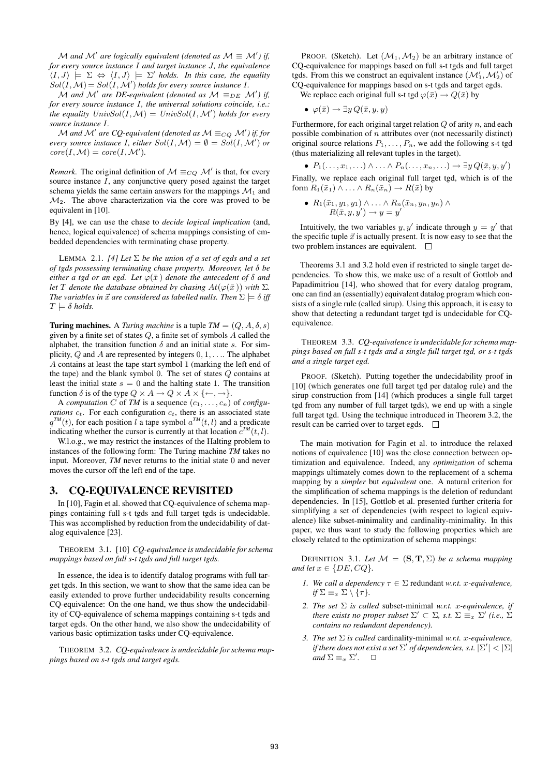*M* and M' are logically equivalent (denoted as  $M \equiv M'$ ) if, *for every source instance* I *and target instance* J*, the equivalence*  $\langle I, J \rangle \models \Sigma \Leftrightarrow \langle I, J \rangle \models \Sigma'$  holds. In this case, the equality  $Sol(I, M) = Sol(I, M')$  holds for every source instance I.

 $\overline{\mathcal{M}}$  and  $\overline{\mathcal{M}}'$  are DE-equivalent (denoted as  $\mathcal{M} \equiv_{DE} \mathcal{M}'$ ) if, *for every source instance* I*, the universal solutions coincide, i.e.: the equality*  $UnivSol(I, M) = UnivSol(I, M')$  *holds for every source instance* I*.*

 ${\mathcal M}$  and  ${\mathcal M}'$  are CQ-equivalent (denoted as  ${\mathcal M} \equiv_{CQ} {\mathcal M}'$ ) if, for *every source instance I, either*  $Sol(I, M) = \emptyset = Sol(I, M')$  *or*  $core(I, M) = core(I, M').$ 

*Remark.* The original definition of  $M \equiv_{CQ} M'$  is that, for every source instance  $I$ , any conjunctive query posed against the target schema yields the same certain answers for the mappings  $\mathcal{M}_1$  and  $\mathcal{M}_2$ . The above characterization via the core was proved to be equivalent in [10].

By [4], we can use the chase to *decide logical implication* (and, hence, logical equivalence) of schema mappings consisting of embedded dependencies with terminating chase property.

LEMMA 2.1. *[4] Let*  $\Sigma$  *be the union of a set of egds and a set of tgds possessing terminating chase property. Moreover, let* δ *be either a tgd or an egd. Let*  $\varphi(\bar{x})$  *denote the antecedent of*  $\delta$  *and let T denote the database obtained by chasing*  $At(\varphi(\bar{x}))$  *with*  $\Sigma$ *. The variables in*  $\vec{x}$  *are considered as labelled nulls. Then*  $\Sigma \models \delta$  *iff*  $T \models \delta$  *holds.* 

**Turing machines.** A *Turing machine* is a tuple  $TM = (Q, A, \delta, s)$ given by a finite set of states  $Q$ , a finite set of symbols  $A$  called the alphabet, the transition function  $\delta$  and an initial state s. For simplicity,  $Q$  and  $A$  are represented by integers  $0, 1, \ldots$ . The alphabet A contains at least the tape start symbol 1 (marking the left end of the tape) and the blank symbol 0. The set of states Q contains at least the initial state  $s = 0$  and the halting state 1. The transition function  $\delta$  is of the type  $Q \times A \to Q \times A \times \{\leftarrow, \rightarrow\}.$ 

A *computation* C of TM is a sequence  $(c_1, \ldots, c_n)$  of *configurations*  $c_t$ . For each configuration  $c_t$ , there is an associated state  $q^{TM}(t)$ , for each position l a tape symbol  $q^{TM}(t, l)$  and a predicate indicating whether the cursor is currently at that location  $c^{TM}(t, l)$ .

W.l.o.g., we may restrict the instances of the Halting problem to instances of the following form: The Turing machine *TM* takes no input. Moreover, *TM* never returns to the initial state 0 and never moves the cursor off the left end of the tape.

#### 3. CQ-EQUIVALENCE REVISITED

In [10], Fagin et al. showed that CQ-equivalence of schema mappings containing full s-t tgds and full target tgds is undecidable. This was accomplished by reduction from the undecidability of datalog equivalence [23].

THEOREM 3.1. [10] *CQ-equivalence is undecidable for schema mappings based on full s-t tgds and full target tgds.*

In essence, the idea is to identify datalog programs with full target tgds. In this section, we want to show that the same idea can be easily extended to prove further undecidability results concerning CQ-equivalence: On the one hand, we thus show the undecidability of CQ-equivalence of schema mappings containing s-t tgds and target egds. On the other hand, we also show the undecidability of various basic optimization tasks under CQ-equivalence.

THEOREM 3.2. *CQ-equivalence is undecidable for schema mappings based on s-t tgds and target egds.*

PROOF. (Sketch). Let  $(\mathcal{M}_1, \mathcal{M}_2)$  be an arbitrary instance of CQ-equivalence for mappings based on full s-t tgds and full target tgds. From this we construct an equivalent instance  $(\mathcal{M}'_1, \mathcal{M}'_2)$  of CQ-equivalence for mappings based on s-t tgds and target egds.

We replace each original full s-t tgd  $\varphi(\bar{x}) \to Q(\bar{x})$  by

• 
$$
\varphi(\bar{x}) \to \exists y \, Q(\bar{x}, y, y)
$$

Furthermore, for each original target relation  $Q$  of arity  $n$ , and each possible combination of  $n$  attributes over (not necessarily distinct) original source relations  $P_1, \ldots, P_n$ , we add the following s-t tgd (thus materializing all relevant tuples in the target).

•  $P_1(\ldots,x_1,\ldots) \wedge \ldots \wedge P_n(\ldots,x_n,\ldots) \rightarrow \exists y \, Q(\bar{x},y,y')$ Finally, we replace each original full target tgd, which is of the form  $R_1(\bar{x}_1) \wedge \ldots \wedge R_n(\bar{x}_n) \rightarrow R(\bar{x})$  by

• 
$$
R_1(\bar{x}_1, y_1, y_1) \wedge \ldots \wedge R_n(\bar{x}_n, y_n, y_n) \wedge R(\bar{x}, y, y') \rightarrow y = y'
$$

Intuitively, the two variables  $y, y'$  indicate through  $y = y'$  that the specific tuple  $\vec{x}$  is actually present. It is now easy to see that the two problem instances are equivalent.

Theorems 3.1 and 3.2 hold even if restricted to single target dependencies. To show this, we make use of a result of Gottlob and Papadimitriou [14], who showed that for every datalog program, one can find an (essentially) equivalent datalog program which consists of a single rule (called sirup). Using this approach, it is easy to show that detecting a redundant target tgd is undecidable for CQequivalence.

THEOREM 3.3. *CQ-equivalence is undecidable for schema mappings based on full s-t tgds and a single full target tgd, or s-t tgds and a single target egd.*

PROOF. (Sketch). Putting together the undecidability proof in [10] (which generates one full target tgd per datalog rule) and the sirup construction from [14] (which produces a single full target tgd from any number of full target tgds), we end up with a single full target tgd. Using the technique introduced in Theorem 3.2, the result can be carried over to target egds.  $\Box$ 

The main motivation for Fagin et al. to introduce the relaxed notions of equivalence [10] was the close connection between optimization and equivalence. Indeed, any *optimization* of schema mappings ultimately comes down to the replacement of a schema mapping by a *simpler* but *equivalent* one. A natural criterion for the simplification of schema mappings is the deletion of redundant dependencies. In [15], Gottlob et al. presented further criteria for simplifying a set of dependencies (with respect to logical equivalence) like subset-minimality and cardinality-minimality. In this paper, we thus want to study the following properties which are closely related to the optimization of schema mappings:

DEFINITION 3.1. Let  $\mathcal{M} = (\mathbf{S}, \mathbf{T}, \Sigma)$  *be a schema mapping and let*  $x \in \{DE, CQ\}$ *.* 

- *1. We call a dependency*  $\tau \in \Sigma$  redundant *w.r.t. x-equivalence*,  $if \Sigma \equiv_x \Sigma \setminus \{\tau\}.$
- *2. The set* Σ *is called* subset-minimal *w.r.t.* x*-equivalence, if there exists no proper subset*  $\Sigma' \subset \Sigma$ , *s.t.*  $\Sigma \equiv_x \Sigma'$  *(i.e.,*  $\Sigma$ ) *contains no redundant dependency).*
- *3. The set* Σ *is called* cardinality-minimal *w.r.t.* x*-equivalence, if there does not exist a set*  $\Sigma'$  *of dependencies, s.t.*  $|\Sigma'| < |\Sigma|$ *and*  $\Sigma \equiv_x \Sigma'$ .  $\square$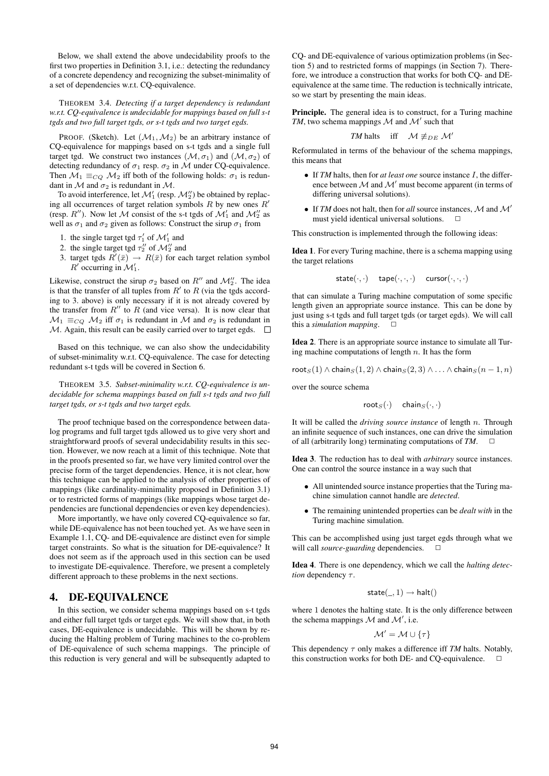Below, we shall extend the above undecidability proofs to the first two properties in Definition 3.1, i.e.: detecting the redundancy of a concrete dependency and recognizing the subset-minimality of a set of dependencies w.r.t. CQ-equivalence.

THEOREM 3.4. *Detecting if a target dependency is redundant w.r.t. CQ-equivalence is undecidable for mappings based on full s-t tgds and two full target tgds, or s-t tgds and two target egds.*

PROOF. (Sketch). Let  $(\mathcal{M}_1, \mathcal{M}_2)$  be an arbitrary instance of CQ-equivalence for mappings based on s-t tgds and a single full target tgd. We construct two instances  $(\mathcal{M}, \sigma_1)$  and  $(\mathcal{M}, \sigma_2)$  of detecting redundancy of  $\sigma_1$  resp.  $\sigma_2$  in M under CQ-equivalence. Then  $\mathcal{M}_1 \equiv_{CQ} \mathcal{M}_2$  iff both of the following holds:  $\sigma_1$  is redundant in  $\mathcal M$  and  $\sigma_2$  is redundant in  $\mathcal M$ .

To avoid interference, let  $\mathcal{M}'_1$  (resp.  $\mathcal{M}''_2$ ) be obtained by replacing all occurrences of target relation symbols  $R$  by new ones  $R'$ (resp.  $R''$ ). Now let M consist of the s-t tgds of  $\mathcal{M}'_1$  and  $\mathcal{M}''_2$  as well as  $\sigma_1$  and  $\sigma_2$  given as follows: Construct the sirup  $\sigma_1$  from

- 1. the single target tgd  $\tau_1'$  of  $\mathcal{M}_1'$  and
- 2. the single target tgd  $\tau_2''$  of  $\mathcal{M}_2''$  and
- 3. target tgds  $R'(\bar{x}) \rightarrow R(\bar{x})$  for each target relation symbol  $R'$  occurring in  $\mathcal{M}'_1$ .

Likewise, construct the sirup  $\sigma_2$  based on  $R''$  and  $\mathcal{M}_2''$ . The idea is that the transfer of all tuples from  $R'$  to  $R$  (via the tgds according to 3. above) is only necessary if it is not already covered by the transfer from  $R''$  to R (and vice versa). It is now clear that  $\mathcal{M}_1 \equiv_{CQ} \mathcal{M}_2$  iff  $\sigma_1$  is redundant in  $\mathcal M$  and  $\sigma_2$  is redundant in  $M$ . Again, this result can be easily carried over to target egds.  $\Box$ 

Based on this technique, we can also show the undecidability of subset-minimality w.r.t. CQ-equivalence. The case for detecting redundant s-t tgds will be covered in Section 6.

THEOREM 3.5. *Subset-minimality w.r.t. CQ-equivalence is undecidable for schema mappings based on full s-t tgds and two full target tgds, or s-t tgds and two target egds.*

The proof technique based on the correspondence between datalog programs and full target tgds allowed us to give very short and straightforward proofs of several undecidability results in this section. However, we now reach at a limit of this technique. Note that in the proofs presented so far, we have very limited control over the precise form of the target dependencies. Hence, it is not clear, how this technique can be applied to the analysis of other properties of mappings (like cardinality-minimality proposed in Definition 3.1) or to restricted forms of mappings (like mappings whose target dependencies are functional dependencies or even key dependencies).

More importantly, we have only covered CQ-equivalence so far, while DE-equivalence has not been touched yet. As we have seen in Example 1.1, CQ- and DE-equivalence are distinct even for simple target constraints. So what is the situation for DE-equivalence? It does not seem as if the approach used in this section can be used to investigate DE-equivalence. Therefore, we present a completely different approach to these problems in the next sections.

#### 4. DE-EQUIVALENCE

In this section, we consider schema mappings based on s-t tgds and either full target tgds or target egds. We will show that, in both cases, DE-equivalence is undecidable. This will be shown by reducing the Halting problem of Turing machines to the co-problem of DE-equivalence of such schema mappings. The principle of this reduction is very general and will be subsequently adapted to CQ- and DE-equivalence of various optimization problems (in Section 5) and to restricted forms of mappings (in Section 7). Therefore, we introduce a construction that works for both CQ- and DEequivalence at the same time. The reduction is technically intricate, so we start by presenting the main ideas.

Principle. The general idea is to construct, for a Turing machine *TM*, two schema mappings  $M$  and  $M'$  such that

$$
TM \; \text{halts} \quad \text{ iff } \quad \mathcal{M} \not\equiv_{DE} \mathcal{M}'
$$

Reformulated in terms of the behaviour of the schema mappings, this means that

- If *TM* halts, then for *at least one* source instance I, the difference between  $\mathcal M$  and  $\mathcal M'$  must become apparent (in terms of differing universal solutions).
- If *TM* does not halt, then for *all* source instances,  $M$  and  $M'$ must yield identical universal solutions.  $\Box$

This construction is implemented through the following ideas:

Idea 1. For every Turing machine, there is a schema mapping using the target relations

$$
\mathsf{state}(\cdot, \cdot) \quad \mathsf{tape}(\cdot, \cdot, \cdot) \quad \mathsf{cursor}(\cdot, \cdot, \cdot)
$$

that can simulate a Turing machine computation of some specific length given an appropriate source instance. This can be done by just using s-t tgds and full target tgds (or target egds). We will call this a *simulation mapping*.  $\Box$ 

Idea 2. There is an appropriate source instance to simulate all Turing machine computations of length  $n$ . It has the form

root<sub>S</sub>(1)  $\land$  chain<sub>S</sub>(1, 2)  $\land$  chain<sub>S</sub>(2, 3)  $\land \dots \land$  chain<sub>S</sub>(n - 1, n)

over the source schema

$$
\mathsf{root}_S(\cdot) \quad \mathsf{chain}_S(\cdot, \cdot)
$$

It will be called the *driving source instance* of length n. Through an infinite sequence of such instances, one can drive the simulation of all (arbitrarily long) terminating computations of  $TM$ .  $\Box$ 

Idea 3. The reduction has to deal with *arbitrary* source instances. One can control the source instance in a way such that

- All unintended source instance properties that the Turing machine simulation cannot handle are *detected*.
- The remaining unintended properties can be *dealt with* in the Turing machine simulation.

This can be accomplished using just target egds through what we will call *source-guarding* dependencies.

Idea 4. There is one dependency, which we call the *halting detection* dependency  $\tau$ .

$$
state(\_, 1) \rightarrow halt()
$$

where 1 denotes the halting state. It is the only difference between the schema mappings  $M$  and  $M'$ , i.e.

$$
\mathcal{M}' = \mathcal{M} \cup \{\tau\}
$$

This dependency  $\tau$  only makes a difference iff *TM* halts. Notably, this construction works for both DE- and CQ-equivalence.  $\Box$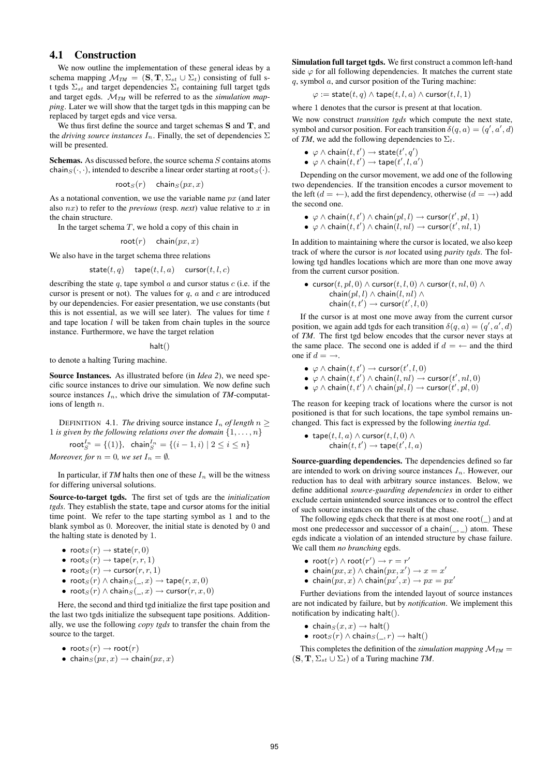## 4.1 Construction

We now outline the implementation of these general ideas by a schema mapping  $\mathcal{M}_{TM} = (\mathbf{S}, \mathbf{T}, \Sigma_{st} \cup \Sigma_t)$  consisting of full st tgds  $\Sigma_{st}$  and target dependencies  $\Sigma_t$  containing full target tgds and target egds. M*TM* will be referred to as the *simulation mapping*. Later we will show that the target tgds in this mapping can be replaced by target egds and vice versa.

We thus first define the source and target schemas S and T, and the *driving source instances*  $I_n$ . Finally, the set of dependencies  $\Sigma$ will be presented.

Schemas. As discussed before, the source schema S contains atoms chain<sub>S</sub>( $\cdot$ , $\cdot$ ), intended to describe a linear order starting at root<sub>S</sub>( $\cdot$ ).

$$
root_S(r)
$$
 chain<sub>S</sub> $(px, x)$ 

As a notational convention, we use the variable name  $px$  (and later also nx) to refer to the *previous* (resp. *next*) value relative to x in the chain structure.

In the target schema  $T$ , we hold a copy of this chain in

$$
root(r)
$$
 chain $(px, x)$ 

We also have in the target schema three relations

$$
\mathsf{state}(t,q) \quad \, \mathsf{tape}(t,l,a) \quad \, \mathsf{cursor}(t,l,c)
$$

describing the state  $q$ , tape symbol  $a$  and cursor status  $c$  (i.e. if the cursor is present or not). The values for  $q$ ,  $a$  and  $c$  are introduced by our dependencies. For easier presentation, we use constants (but this is not essential, as we will see later). The values for time  $t$ and tape location  $l$  will be taken from chain tuples in the source instance. Furthermore, we have the target relation

#### halt()

to denote a halting Turing machine.

Source Instances. As illustrated before (in *Idea 2*), we need specific source instances to drive our simulation. We now define such source instances  $I_n$ , which drive the simulation of  $TM$ -computations of length n.

DEFINITION 4.1. *The* driving source instance  $I_n$  *of length*  $n \geq$ 1 *is given by the following relations over the domain*  $\{1, \ldots, n\}$  $\mathsf{root}^{I_n}_S = \{(1)\}, \; \; \mathsf{chain}^{I_n}_S = \{(i-1,i) \; | \; 2 \leq i \leq n\}$ *Moreover, for*  $n = 0$ *, we set*  $I_n = \emptyset$ *.* 

In particular, if  $TM$  halts then one of these  $I_n$  will be the witness for differing universal solutions.

Source-to-target tgds. The first set of tgds are the *initialization tgds*. They establish the state, tape and cursor atoms for the initial time point. We refer to the tape starting symbol as 1 and to the blank symbol as 0. Moreover, the initial state is denoted by 0 and the halting state is denoted by 1.

- $\text{root}_S(r) \rightarrow \text{state}(r, 0)$
- $\text{root}_S(r) \rightarrow \text{tape}(r, r, 1)$
- $\text{root}_S(r) \rightarrow \text{cursor}(r, r, 1)$
- $\mathsf{root}_S(r) \wedge \mathsf{chain}_S(\_, x) \rightarrow \mathsf{tape}(r, x, 0)$
- $\text{root}_S(r) \wedge \text{chain}_S(\_, x) \rightarrow \text{cursor}(r, x, 0)$

Here, the second and third tgd initialize the first tape position and the last two tgds initialize the subsequent tape positions. Additionally, we use the following *copy tgds* to transfer the chain from the source to the target.

- $\text{root}_S(r) \rightarrow \text{root}(r)$
- chain $S(px, x) \rightarrow chain(px, x)$

Simulation full target tgds. We first construct a common left-hand side  $\varphi$  for all following dependencies. It matches the current state  $q$ , symbol  $a$ , and cursor position of the Turing machine:

$$
\varphi := \mathsf{state}(t,q) \land \mathsf{tape}(t,l,a) \land \mathsf{cursor}(t,l,1)
$$

where 1 denotes that the cursor is present at that location.

We now construct *transition tgds* which compute the next state, symbol and cursor position. For each transition  $\delta(q, a) = (q', a', d)$ of *TM*, we add the following dependencies to  $\Sigma_t$ .

- $\varphi \wedge \text{chain}(t, t') \rightarrow \text{state}(t', q')$
- $\bullet \varphi \wedge \mathsf{chain}(t,t') \rightarrow \mathsf{tape}(t',l,a')$

Depending on the cursor movement, we add one of the following two dependencies. If the transition encodes a cursor movement to the left ( $d = \leftarrow$ ), add the first dependency, otherwise ( $d = \rightarrow$ ) add the second one.

- $\varphi \wedge \text{chain}(t, t') \wedge \text{chain}(pl, l) \rightarrow \text{cursor}(t', pl, 1)$
- $\bullet \varphi \wedge \text{chain}(t, t') \wedge \text{chain}(l, nl) \rightarrow \text{cursor}(t', nl, 1)$

In addition to maintaining where the cursor is located, we also keep track of where the cursor is *not* located using *parity tgds*. The following tgd handles locations which are more than one move away from the current cursor position.

• cursor $(t, pl, 0) \wedge$  cursor $(t, l, 0) \wedge$  cursor $(t, nl, 0) \wedge$ chain $(pl, l) \wedge$ chain $(l, nl) \wedge$ chain $(t, t') \rightarrow$  cursor $(t', l, 0)$ 

If the cursor is at most one move away from the current cursor position, we again add tgds for each transition  $\delta(q, a) = (q', a', d)$ of *TM*. The first tgd below encodes that the cursor never stays at the same place. The second one is added if  $d = \leftarrow$  and the third one if  $d = \rightarrow$ .

- $\varphi \wedge \text{chain}(t, t') \rightarrow \text{cursor}(t', l, 0)$
- $\varphi \wedge \text{chain}(t, t') \wedge \text{chain}(l, nl) \rightarrow \text{cursor}(t', nl, 0)$
- $\bullet \varphi \wedge \mathsf{chain}(t, t') \wedge \mathsf{chain}(pl, l) \rightarrow \mathsf{cursor}(t', pl, 0)$

The reason for keeping track of locations where the cursor is not positioned is that for such locations, the tape symbol remains unchanged. This fact is expressed by the following *inertia tgd*.

$$
\begin{array}{ll}\bullet\ \mathsf{tape}(t,l,a)\wedge\mathsf{cursor}(t,l,0)\wedge\\\mathsf{chain}(t,t')\rightarrow\mathsf{tape}(t',l,a)\end{array}
$$

Source-guarding dependencies. The dependencies defined so far are intended to work on driving source instances  $I_n$ . However, our reduction has to deal with arbitrary source instances. Below, we define additional *source-guarding dependencies* in order to either exclude certain unintended source instances or to control the effect of such source instances on the result of the chase.

The following egds check that there is at most one root(\_) and at most one predecessor and successor of a chain( $\_$ ,  $\_$ ) atom. These egds indicate a violation of an intended structure by chase failure. We call them *no branching* egds.

- $\text{root}(r) \wedge \text{root}(r') \rightarrow r = r'$
- chain $(px, x) \wedge$ chain $(px, x') \rightarrow x = x'$
- chain $(px, x) \wedge$ chain $(px', x) \rightarrow px = px'$

Further deviations from the intended layout of source instances are not indicated by failure, but by *notification*. We implement this notification by indicating halt().

- chain $S(x, x) \rightarrow \text{halt}()$
- $\text{root}_S(r) \wedge \text{chain}_S(\_, r) \rightarrow \text{halt}()$

This completes the definition of the *simulation mapping*  $M_{TM}$  =  $(\mathbf{S}, \mathbf{T}, \Sigma_{st} \cup \Sigma_t)$  of a Turing machine *TM*.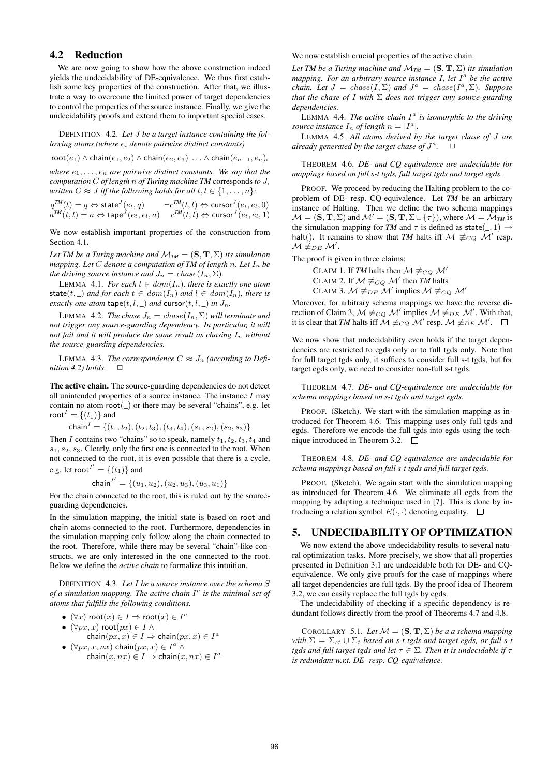#### 4.2 Reduction

We are now going to show how the above construction indeed yields the undecidability of DE-equivalence. We thus first establish some key properties of the construction. After that, we illustrate a way to overcome the limited power of target dependencies to control the properties of the source instance. Finally, we give the undecidability proofs and extend them to important special cases.

DEFINITION 4.2. *Let* J *be a target instance containing the following atoms (where*  $e_i$  *denote pairwise distinct constants)* 

$$
root(e_1) \wedge chain(e_1, e_2) \wedge chain(e_2, e_3) \dots \wedge chain(e_{n-1}, e_n)
$$

*where*  $e_1, \ldots, e_n$  *are pairwise distinct constants. We say that the computation* C *of length* n *of Turing machine TM* corresponds *to* J*, written*  $C \approx J$  *iff the following holds for all*  $t, l \in \{1, \ldots, n\}$ :

 $q^{TM}(t) = q \Leftrightarrow \textsf{state}^J(e_t, q) \qquad \neg c^{TM}(t, l) \Leftrightarrow \textsf{cursor}^J(e_t, e_l, 0)$  $a^{\textit{TM}}(t,l) = a \Leftrightarrow \textsf{tape}^{\textit{J}}(e_t,e_l,a) \quad \textit{c}^{\textit{TM}}(t,l) \Leftrightarrow \textsf{cursor}^{\textit{J}}(e_t,e_l,1)$ 

We now establish important properties of the construction from Section 4.1.

*Let TM be a Turing machine and*  $M_{\text{TM}} = (\mathbf{S}, \mathbf{T}, \Sigma)$  *its simulation mapping. Let* C *denote a computation of TM of length* n*. Let* I<sup>n</sup> *be the driving source instance and*  $J_n = \text{chase}(I_n, \Sigma)$ *.* 

LEMMA 4.1. *For each*  $t \in dom(I_n)$ *, there is exactly one atom* state( $t, \_$ ) *and for each*  $t \in dom(I_n)$  *and*  $l \in dom(I_n)$ *, there is exactly one atom*  $\text{tape}(t, l, \_)$  *and*  $\text{cursor}(t, l, \_)$  *in*  $J_n$ *.* 

LEMMA 4.2. *The chase*  $J_n = \text{chase}(I_n, \Sigma)$  *will terminate and not trigger any source-guarding dependency. In particular, it will not fail and it will produce the same result as chasing*  $I_n$  *without the source-guarding dependencies.*

LEMMA 4.3. *The correspondence*  $C \approx J_n$  *(according to Definition* 4.2*) holds.*  $\Box$ 

The active chain. The source-guarding dependencies do not detect all unintended properties of a source instance. The instance  $I$  may contain no atom root(\_) or there may be several "chains", e.g. let root<sup> $I = \{(t_1)\}\$ and</sup>

chain<sup>I</sup> = {
$$
(t_1, t_2), (t_2, t_3), (t_3, t_4), (s_1, s_2), (s_2, s_3)
$$
}

Then I contains two "chains" so to speak, namely  $t_1, t_2, t_3, t_4$  and  $s_1, s_2, s_3$ . Clearly, only the first one is connected to the root. When not connected to the root, it is even possible that there is a cycle, e.g. let root  $I' = \{(t_1)\}\$ and

 $\mathsf{chain}^{I'} = \{(u_1, u_2), (u_2, u_3), (u_3, u_1)\}$ 

For the chain connected to the root, this is ruled out by the sourceguarding dependencies.

In the simulation mapping, the initial state is based on root and chain atoms connected to the root. Furthermore, dependencies in the simulation mapping only follow along the chain connected to the root. Therefore, while there may be several "chain"-like constructs, we are only interested in the one connected to the root. Below we define the *active chain* to formalize this intuition.

DEFINITION 4.3. *Let* I *be a source instance over the schema* S of a simulation mapping. The active chain  $I^a$  is the minimal set of *atoms that fulfills the following conditions.*

•  $(\forall x)$  root $(x) \in I \Rightarrow$  root $(x) \in I^a$ 

- $(\forall px, x)$  root $(px) \in I \wedge I$
- chain $(px, x) \in I \Rightarrow$  chain $(px, x) \in I^a$ •  $(\forall px, x, nx)$  chain $(px, x) \in I^a \wedge I^a$
- chain $(x, nx) \in I \Rightarrow$  chain $(x, nx) \in I^a$

We now establish crucial properties of the active chain.

*Let TM be a Turing machine and*  $M_{\text{TM}} = (\mathbf{S}, \mathbf{T}, \Sigma)$  *its simulation mapping. For an arbitrary source instance I, let*  $I^a$  *be the active chain. Let*  $J = \text{chase}(I, \Sigma)$  *and*  $J^a = \text{chase}(I^a, \Sigma)$ *. Suppose that the chase of* I *with* Σ *does not trigger any source-guarding dependencies.*

LEMMA 4.4. The active chain  $I^a$  is isomorphic to the driving *source instance*  $I_n$  *of length*  $n = |I^a|$ *.* 

LEMMA 4.5. *All atoms derived by the target chase of* J *are already generated by the target chase of*  $J^a$ .  $\Box$ 

THEOREM 4.6. *DE- and CQ-equivalence are undecidable for mappings based on full s-t tgds, full target tgds and target egds.*

PROOF. We proceed by reducing the Halting problem to the coproblem of DE- resp. CQ-equivalence. Let *TM* be an arbitrary instance of Halting. Then we define the two schema mappings  $\mathcal{M} = (\mathbf{S}, \mathbf{T}, \Sigma)$  and  $\mathcal{M}' = (\mathbf{S}, \mathbf{T}, \Sigma \cup \{\tau\})$ , where  $\mathcal{M} = \mathcal{M}_{\mathcal{TM}}$  is the simulation mapping for *TM* and  $\tau$  is defined as state(\_, 1)  $\rightarrow$ halt(). It remains to show that *TM* halts iff  $M \neq_{CQ} M'$  resp.  $\mathcal{M} \not\equiv_{DE} \mathcal{M}'.$ 

The proof is given in three claims:

CLAIM 1. If *TM* halts then  $M \neq_{CO} M'$ CLAIM 2. If  $\mathcal{M} \not\equiv_{CQ} \mathcal{M}'$  then *TM* halts CLAIM 3.  $\mathcal{M} \not\equiv_{DE} \mathcal{M}'$  implies  $\mathcal{M} \not\equiv_{CQ} \mathcal{M}'$ 

Moreover, for arbitrary schema mappings we have the reverse direction of Claim 3,  $\mathcal{M} \not\equiv_{CQ} \mathcal{M}'$  implies  $\mathcal{M} \not\equiv_{DE} \mathcal{M}'$ . With that, it is clear that *TM* halts iff  $\mathcal{M} \not\equiv_{CQ} \mathcal{M}'$  resp.  $\mathcal{M} \not\equiv_{DE} \mathcal{M}'$ .

We now show that undecidability even holds if the target dependencies are restricted to egds only or to full tgds only. Note that for full target tgds only, it suffices to consider full s-t tgds, but for target egds only, we need to consider non-full s-t tgds.

THEOREM 4.7. *DE- and CQ-equivalence are undecidable for schema mappings based on s-t tgds and target egds.*

PROOF. (Sketch). We start with the simulation mapping as introduced for Theorem 4.6. This mapping uses only full tgds and egds. Therefore we encode the full tgds into egds using the technique introduced in Theorem 3.2.  $\Box$ 

THEOREM 4.8. *DE- and CQ-equivalence are undecidable for schema mappings based on full s-t tgds and full target tgds.*

PROOF. (Sketch). We again start with the simulation mapping as introduced for Theorem 4.6. We eliminate all egds from the mapping by adapting a technique used in [7]. This is done by introducing a relation symbol  $E(\cdot, \cdot)$  denoting equality.  $\square$ 

#### 5. UNDECIDABILITY OF OPTIMIZATION

We now extend the above undecidability results to several natural optimization tasks. More precisely, we show that all properties presented in Definition 3.1 are undecidable both for DE- and CQequivalence. We only give proofs for the case of mappings where all target dependencies are full tgds. By the proof idea of Theorem 3.2, we can easily replace the full tgds by egds.

The undecidability of checking if a specific dependency is redundant follows directly from the proof of Theorems 4.7 and 4.8.

COROLLARY 5.1. *Let*  $M = (\mathbf{S}, \mathbf{T}, \Sigma)$  *be a a schema mapping with*  $\Sigma = \sum_{st} \cup \sum_{t} based on s-t$  *tgds and target egds, or full s-t tgds and full target tgds and let*  $\tau \in \Sigma$ *. Then it is undecidable if*  $\tau$ *is redundant w.r.t. DE- resp. CQ-equivalence.*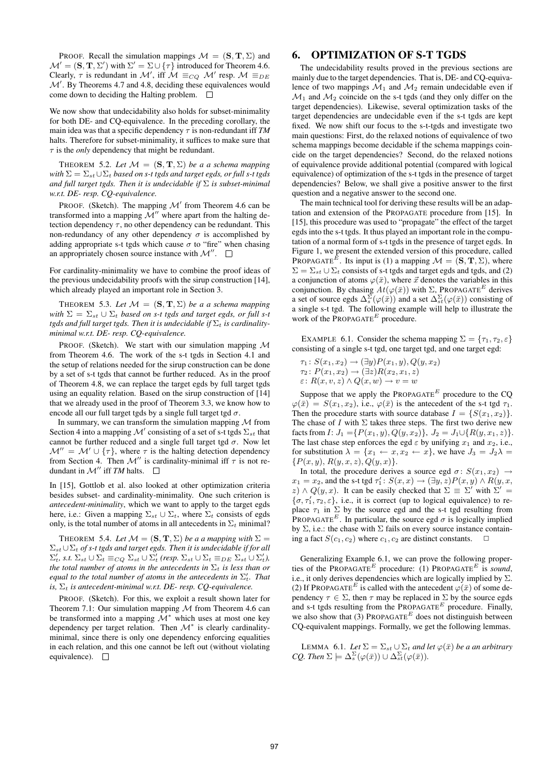PROOF. Recall the simulation mappings  $\mathcal{M} = (\mathbf{S}, \mathbf{T}, \Sigma)$  and  $\mathcal{M}' = (\mathbf{S}, \mathbf{T}, \Sigma')$  with  $\Sigma' = \Sigma \cup {\tau}$  introduced for Theorem 4.6. Clearly,  $\tau$  is redundant in M', iff  $\mathcal{M} \equiv_{CQ} \mathcal{M}'$  resp.  $\mathcal{M} \equiv_{DE}$  $M'$ . By Theorems 4.7 and 4.8, deciding these equivalences would come down to deciding the Halting problem.  $\Box$ 

We now show that undecidability also holds for subset-minimality for both DE- and CQ-equivalence. In the preceding corollary, the main idea was that a specific dependency  $\tau$  is non-redundant iff *TM* halts. Therefore for subset-minimality, it suffices to make sure that  $\tau$  is the *only* dependency that might be redundant.

THEOREM 5.2. Let  $M = (\mathbf{S}, \mathbf{T}, \Sigma)$  be a a schema mapping  $with \Sigma = \Sigma_{st} \cup \Sigma_{t}$  *based on s-t tgds and target egds, or full s-t tgds and full target tgds. Then it is undecidable if* Σ *is subset-minimal w.r.t. DE- resp. CQ-equivalence.*

PROOF. (Sketch). The mapping  $\mathcal{M}'$  from Theorem 4.6 can be transformed into a mapping  $\mathcal{M}^{\prime\prime}$  where apart from the halting detection dependency  $\tau$ , no other dependency can be redundant. This non-redundancy of any other dependency  $\sigma$  is accomplished by adding appropriate s-t tgds which cause  $\sigma$  to "fire" when chasing an appropriately chosen source instance with  $\mathcal{M}''$ .

For cardinality-minimality we have to combine the proof ideas of the previous undecidability proofs with the sirup construction [14], which already played an important role in Section 3.

THEOREM 5.3. Let  $M = (\mathbf{S}, \mathbf{T}, \Sigma)$  be a a schema mapping *with*  $\Sigma = \Sigma_{st} \cup \Sigma_t$  *based on s-t tgds and target egds, or full s-t tgds and full target tgds. Then it is undecidable if*  $\Sigma_t$  *is cardinalityminimal w.r.t. DE- resp. CQ-equivalence.*

PROOF. (Sketch). We start with our simulation mapping  $M$ from Theorem 4.6. The work of the s-t tgds in Section 4.1 and the setup of relations needed for the sirup construction can be done by a set of s-t tgds that cannot be further reduced. As in the proof of Theorem 4.8, we can replace the target egds by full target tgds using an equality relation. Based on the sirup construction of [14] that we already used in the proof of Theorem 3.3, we know how to encode all our full target tgds by a single full target tgd  $\sigma$ .

In summary, we can transform the simulation mapping  $M$  from Section 4 into a mapping  $\mathcal{M}'$  consisting of a set of s-t tgds  $\Sigma_{st}$  that cannot be further reduced and a single full target tgd  $\sigma$ . Now let  $\mathcal{M}'' = \mathcal{M}' \cup \{\tau\}$ , where  $\tau$  is the halting detection dependency from Section 4. Then  $\mathcal{M}''$  is cardinality-minimal iff  $\tau$  is not redundant in  $\mathcal{M}''$  iff *TM* halts.  $\Box$ 

In [15], Gottlob et al. also looked at other optimization criteria besides subset- and cardinality-minimality. One such criterion is *antecedent-minimality*, which we want to apply to the target egds here, i.e.: Given a mapping  $\Sigma_{st} \cup \Sigma_t$ , where  $\Sigma_t$  consists of egds only, is the total number of atoms in all antecedents in  $\Sigma_t$  minimal?

THEOREM 5.4. *Let*  $M = (\mathbf{S}, \mathbf{T}, \Sigma)$  *be a a mapping with*  $\Sigma =$ Σst∪Σ<sup>t</sup> *of s-t tgds and target egds. Then it is undecidable if for all*  $\Sigma'_t$ , s.t.  $\Sigma_{st} \cup \Sigma_t \equiv_{CQ} \Sigma_{st} \cup \Sigma'_t$  (resp.  $\Sigma_{st} \cup \Sigma_t \equiv_{DE} \Sigma_{st} \cup \Sigma'_t$ ), *the total number of atoms in the antecedents in*  $\Sigma_t$  *is less than or equal to the total number of atoms in the antecedents in*  $\Sigma'_t$ *. That is,*  $\Sigma_t$  *is antecedent-minimal w.r.t. DE-resp. CQ-equivalence.* 

PROOF. (Sketch). For this, we exploit a result shown later for Theorem 7.1: Our simulation mapping  $M$  from Theorem 4.6 can be transformed into a mapping  $\mathcal{M}^*$  which uses at most one key dependency per target relation. Then  $\mathcal{M}^*$  is clearly cardinalityminimal, since there is only one dependency enforcing equalities in each relation, and this one cannot be left out (without violating equivalence).  $\square$ 

## 6. OPTIMIZATION OF S-T TGDS

The undecidability results proved in the previous sections are mainly due to the target dependencies. That is, DE- and CQ-equivalence of two mappings  $\mathcal{M}_1$  and  $\mathcal{M}_2$  remain undecidable even if  $\mathcal{M}_1$  and  $\mathcal{M}_2$  coincide on the s-t tgds (and they only differ on the target dependencies). Likewise, several optimization tasks of the target dependencies are undecidable even if the s-t tgds are kept fixed. We now shift our focus to the s-t-tgds and investigate two main questions: First, do the relaxed notions of equivalence of two schema mappings become decidable if the schema mappings coincide on the target dependencies? Second, do the relaxed notions of equivalence provide additional potential (compared with logical equivalence) of optimization of the s-t tgds in the presence of target dependencies? Below, we shall give a positive answer to the first question and a negative answer to the second one.

The main technical tool for deriving these results will be an adaptation and extension of the PROPAGATE procedure from [15]. In [15], this procedure was used to "propagate" the effect of the target egds into the s-t tgds. It thus played an important role in the computation of a normal form of s-t tgds in the presence of target egds. In Figure 1, we present the extended version of this procedure, called PROPAGATE<sup>E</sup>. Its input is (1) a mapping  $\mathcal{M} = (\mathbf{S}, \mathbf{T}, \Sigma)$ , where  $\Sigma = \Sigma_{st} \cup \Sigma_t$  consists of s-t tgds and target egds and tgds, and (2) a conjunction of atoms  $\varphi(\bar{x})$ , where  $\vec{x}$  denotes the variables in this conjunction. By chasing  $At(\varphi(\bar{x}))$  with  $\Sigma$ , PROPAGATE<sup>E</sup> derives a set of source egds  $\Delta_s^{\Sigma}(\varphi(\bar{x}))$  and a set  $\Delta_{st}^{\Sigma}(\varphi(\bar{x}))$  consisting of a single s-t tgd. The following example will help to illustrate the work of the PROPAGATE<sup>E</sup> procedure.

EXAMPLE 6.1. Consider the schema mapping  $\Sigma = \{\tau_1, \tau_2, \varepsilon\}$ consisting of a single s-t tgd, one target tgd, and one target egd:

 $\tau_1: S(x_1, x_2) \to (\exists y) P(x_1, y), Q(y, x_2)$  $\tau_2 \colon P(x_1, x_2) \to (\exists z) R(x_2, x_1, z)$  $\varepsilon$ :  $R(x, v, z) \wedge Q(x, w) \rightarrow v = w$ 

Suppose that we apply the PROPAGATE<sup>E</sup> procedure to the CQ  $\varphi(\bar{x}) = S(x_1, x_2)$ , i.e.,  $\varphi(\bar{x})$  is the antecedent of the s-t tgd  $\tau_1$ . Then the procedure starts with source database  $I = \{S(x_1, x_2)\}.$ The chase of I with  $\Sigma$  takes three steps. The first two derive new facts from  $I: J_1 = {P(x_1, y), Q(y, x_2)}$ ,  $J_2 = J_1 \cup {R(y, x_1, z)}$ . The last chase step enforces the egd  $\varepsilon$  by unifying  $x_1$  and  $x_2$ , i.e., for substitution  $\lambda = \{x_1 \leftarrow x, x_2 \leftarrow x\}$ , we have  $J_3 = J_2 \lambda =$  ${P(x,y), R(y,x,z), Q(y,x)}.$ 

In total, the procedure derives a source egd  $\sigma: S(x_1, x_2) \rightarrow$  $x_1 = x_2$ , and the s-t tgd  $\tau'_1 \colon S(x, x) \to (\exists y, z) P(x, y) \land R(y, x, z)$  $z) \wedge Q(y, x)$ . It can be easily checked that  $\Sigma = \Sigma'$  with  $\Sigma' =$  $\{\sigma, \tau_1', \tau_2, \varepsilon\}$ , i.e., it is correct (up to logical equivalence) to replace  $\tau_1$  in  $\Sigma$  by the source egd and the s-t tgd resulting from PROPAGATE<sup>E</sup>. In particular, the source egd  $\sigma$  is logically implied by  $\Sigma$ , i.e.: the chase with  $\Sigma$  fails on every source instance containing a fact  $S(c_1, c_2)$  where  $c_1, c_2$  are distinct constants.  $\Box$ 

Generalizing Example 6.1, we can prove the following properties of the PROPAGATE<sup>E</sup> procedure: (1) PROPAGATE<sup>E</sup> is *sound*, i.e., it only derives dependencies which are logically implied by  $\Sigma$ . (2) If PROPAGATE<sup>E</sup> is called with the antecedent  $\varphi(\bar{x})$  of some dependency  $\tau \in \Sigma$ , then  $\tau$  may be replaced in  $\Sigma$  by the source egds and s-t tgds resulting from the PROPAGATE<sup>E</sup> procedure. Finally, we also show that (3) PROPAGATE<sup>E</sup> does not distinguish between CQ-equivalent mappings. Formally, we get the following lemmas.

LEMMA 6.1. *Let*  $\Sigma = \Sigma_{st} \cup \Sigma_t$  *and let*  $\varphi(\bar{x})$  *be a an arbitrary CQ. Then*  $\Sigma \models \Delta_s^{\Sigma}(\varphi(\bar{x})) \cup \Delta_{st}^{\Sigma}(\varphi(\bar{x}))$ *.*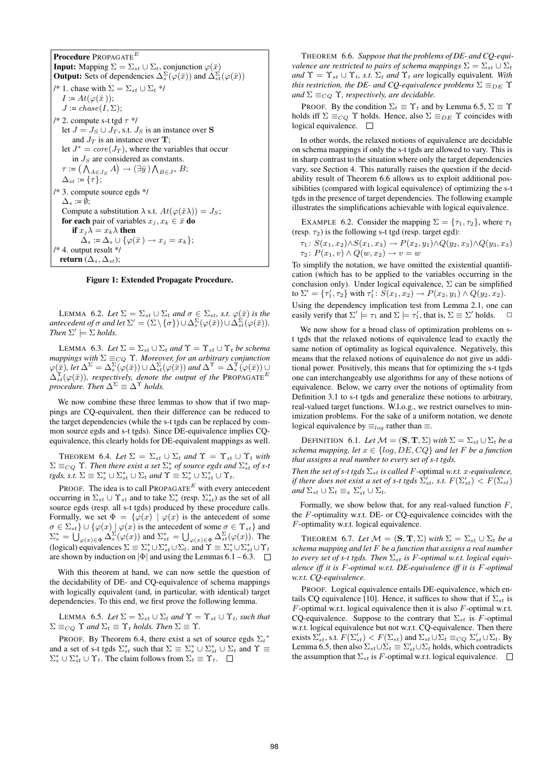Procedure PROPAGATE $^E$ **Input:** Mapping  $\Sigma = \Sigma_{st} \cup \Sigma_t$ , conjunction  $\varphi(\bar{x})$ **Output:** Sets of dependencies  $\Delta_s^{\Sigma}(\varphi(\bar{x}))$  and  $\Delta_{st}^{\Sigma}(\varphi(\bar{x}))$ /\* 1. chase with  $\Sigma = \sum_{st} \cup \sum_{t} *$ /  $I := At(\varphi(\bar{x})).$  $J := \text{chase}(I, \Sigma);$ /\* 2. compute s-t tgd  $\tau$  \*/ let  $J = J_S \cup J_T$ , s.t.  $J_S$  is an instance over S and  $J_T$  is an instance over **T**; let  $J^* = core(J_T)$ , where the variables that occur in  $J<sub>S</sub>$  are considered as constants.  $\tau := (\bigwedge_{A \in J_S} A) \to (\exists \bar{y}) \bigwedge_{B \in J^*} B;$  $\Delta_{st} := {\tau};$ /\* 3. compute source egds \*/  $\Delta_s := \emptyset;$ Compute a substitution  $\lambda$  s.t.  $At(\varphi(\bar{x}\lambda)) = J_S;$ for each pair of variables  $x_j, x_k \in \bar{x}$  do if  $x_i \lambda = x_k \lambda$  then  $\Delta_s := \Delta_s \cup \{ \varphi(\bar{x}) \to x_j = x_k \};$ /\* 4. output result \*/ return  $(\Delta_s, \Delta_{st});$ 

#### Figure 1: Extended Propagate Procedure.

LEMMA 6.2. *Let*  $\Sigma = \Sigma_{st} \cup \Sigma_t$  *and*  $\sigma \in \Sigma_{st}$ , *s.t.*  $\varphi(\bar{x})$  *is the antecedent of*  $\sigma$  *and let*  $\Sigma' = (\Sigma \setminus {\{\sigma\}}) \cup \Delta_s^{\Sigma}(\varphi(\bar{x})) \cup \Delta_{st}^{\Sigma}(\varphi(\bar{x}))$ *. Then*  $\Sigma' \models \Sigma$  *holds.* 

LEMMA 6.3. *Let*  $\Sigma = \Sigma_{st} \cup \Sigma_t$  *and*  $\Upsilon = \Upsilon_{st} \cup \Upsilon_t$  *be schema mappings with*  $\Sigma \equiv_{CQ} \Upsilon$ *. Moreover, for an arbitrary conjunction*  $\varphi(\bar{x})$ *, let*  $\Delta^{\Sigma} = \Delta^{\Sigma}_s(\varphi(\bar{x})) \cup \Delta^{\Sigma}_{st}(\varphi(\bar{x}))$  and  $\Delta^{\Upsilon} = \Delta^{\Upsilon}_s(\varphi(\bar{x})) \cup$  $\Delta_{st}^{\Upsilon}(\varphi(\bar{x}))$ , respectively, denote the output of the PROPAGATE<sup>E</sup> *procedure. Then*  $\Delta^{\Sigma} \equiv \Delta^{\Upsilon}$  *holds.* 

We now combine these three lemmas to show that if two mappings are CQ-equivalent, then their difference can be reduced to the target dependencies (while the s-t tgds can be replaced by common source egds and s-t tgds). Since DE-equivalence implies CQequivalence, this clearly holds for DE-equivalent mappings as well.

THEOREM 6.4. *Let*  $\Sigma = \Sigma_{st} \cup \Sigma_t$  *and*  $\Upsilon = \Upsilon_{st} \cup \Upsilon_t$  *with*  $\Sigma \equiv_{CQ} \Upsilon$ . Then there exist a set  $\Sigma_s^*$  of source egds and  $\Sigma_{st}^*$  of s-t *tgds, s.t.*  $\Sigma \equiv \Sigma_s^* \cup \Sigma_{st}^* \cup \Sigma_t$  *and*  $\Upsilon \equiv \Sigma_s^* \cup \Sigma_{st}^* \cup \Upsilon_t$ .

PROOF. The idea is to call PROPAGATE<sup>E</sup> with every antecedent occurring in  $\Sigma_{st} \cup \Upsilon_{st}$  and to take  $\Sigma_s^*$  (resp.  $\Sigma_{st}^*$ ) as the set of all source egds (resp. all s-t tgds) produced by these procedure calls. Formally, we set  $\Phi = {\varphi(x) \mid \varphi(x) \text{ is the antecedent of some}}$  $\sigma \in \Sigma_{st}$   $\cup$   $\{\varphi(x) \mid \varphi(x)$  is the antecedent of some  $\sigma \in \Upsilon_{st}$  and  $\Sigma_s^* = \bigcup_{\varphi(x) \in \Phi} \Delta_s^{\Sigma}(\varphi(x))$  and  $\Sigma_{st}^* = \bigcup_{\varphi(x) \in \Phi} \Delta_{st}^{\Sigma}(\varphi(x))$ . The (logical) equivalences  $\Sigma \equiv \Sigma_s^* \cup \Sigma_{st}^* \cup \Sigma_t$ . and  $\Upsilon \equiv \Sigma_s^* \cup \Sigma_{st}^* \cup \Upsilon_t$ are shown by induction on  $|\Phi|$  and using the Lemmas 6.1 – 6.3.  $\Box$ 

With this theorem at hand, we can now settle the question of the decidability of DE- and CQ-equivalence of schema mappings with logically equivalent (and, in particular, with identical) target dependencies. To this end, we first prove the following lemma.

LEMMA 6.5. Let  $\Sigma = \Sigma_{st} \cup \Sigma_t$  and  $\Upsilon = \Upsilon_{st} \cup \Upsilon_t$ , such that  $\Sigma \equiv_{CQ} \Upsilon$  *and*  $\Sigma_t \equiv \Upsilon_t$  *holds. Then*  $\Sigma \equiv \Upsilon$ *.* 

PROOF. By Theorem 6.4, there exist a set of source egds  $\Sigma_t^*$ and a set of s-t tgds  $\sum_{s}^{*}$  such that  $\Sigma \equiv \sum_{s}^{*} \cup \sum_{s}^{*}$   $\cup \sum_{t}$  and  $\Upsilon \equiv$  $\Sigma_s^* \cup \Sigma_{st}^* \cup \Upsilon_t$ . The claim follows from  $\Sigma_t \equiv \Upsilon_t$ .

THEOREM 6.6. *Suppose that the problems of DE- and CQ-equivalence are restricted to pairs of schema mappings*  $\Sigma = \Sigma_{st} \cup \Sigma_t$ *and*  $\Upsilon = \Upsilon_{st} \cup \Upsilon_t$ *, s.t.*  $\Sigma_t$  *and*  $\Upsilon_t$  *are* logically equivalent. With *this restriction, the DE- and CQ-equivalence problems*  $\Sigma \equiv_{DE} \Upsilon$ *and*  $\Sigma \equiv_{CQ} \Upsilon$ *, respectively, are decidable.* 

PROOF. By the condition  $\Sigma_t \equiv \Upsilon_t$  and by Lemma 6.5,  $\Sigma \equiv \Upsilon$ holds iff  $\Sigma \equiv_{CQ} \Upsilon$  holds. Hence, also  $\Sigma \equiv_{DE} \Upsilon$  coincides with logical equivalence.  $\Box$ 

In other words, the relaxed notions of equivalence are decidable on schema mappings if only the s-t tgds are allowed to vary. This is in sharp contrast to the situation where only the target dependencies vary, see Section 4. This naturally raises the question if the decidability result of Theorem 6.6 allows us to exploit additional possibilities (compared with logical equivalence) of optimizing the s-t tgds in the presence of target dependencies. The following example illustrates the simplifications achievable with logical equivalence.

EXAMPLE 6.2. Consider the mapping  $\Sigma = {\tau_1, \tau_2}$ , where  $\tau_1$ (resp.  $\tau_2$ ) is the following s-t tgd (resp. target egd):

 $\tau_1$ :  $S(x_1, x_2) \wedge S(x_1, x_3) \rightarrow P(x_2, y_1) \wedge Q(y_2, x_3) \wedge Q(y_3, x_3)$  $\tau_2\colon P(x_1,v)\wedge Q(w,x_2)\to v=w$ 

To simplify the notation, we have omitted the existential quantification (which has to be applied to the variables occurring in the conclusion only). Under logical equivalence,  $\Sigma$  can be simplified to  $\Sigma' = \{\tau'_1, \tau_2\}$  with  $\tau'_1 \colon S(x_1, x_2) \to P(x_2, y_1) \wedge Q(y_2, x_2)$ . Using the dependency implication test from Lemma 2.1, one can easily verify that  $\Sigma' \models \tau_1$  and  $\Sigma \models \tau'_1$ , that is,  $\Sigma \equiv \Sigma'$  holds.  $\Box$ 

We now show for a broad class of optimization problems on st tgds that the relaxed notions of equivalence lead to exactly the same notion of optimality as logical equivalence. Negatively, this means that the relaxed notions of equivalence do not give us additional power. Positively, this means that for optimizing the s-t tgds one can interchangeably use algorithms for any of these notions of equivalence. Below, we carry over the notions of optimality from Definition 3.1 to s-t tgds and generalize these notions to arbitrary, real-valued target functions. W.l.o.g., we restrict ourselves to minimization problems. For the sake of a uniform notation, we denote logical equivalence by  $\equiv_{log}$  rather than  $\equiv$ .

DEFINITION 6.1. *Let*  $M = (\mathbf{S}, \mathbf{T}, \Sigma)$  *with*  $\Sigma = \Sigma_{st} \cup \Sigma_t$  *be a schema mapping, let*  $x \in \{log, DE, CQ\}$  *and let* F *be a function that assigns a real number to every set of s-t tgds.*

*Then the set of s-t tgds*  $\Sigma_{st}$  *is called F*-optimal *w.r.t. x-equivalence*, *if there does not exist a set of s-t tgds*  $\Sigma'_{st}$ *, s.t.*  $F(\Sigma'_{st}) < F(\Sigma_{st})$  $\overline{a}$ *and*  $\Sigma_{st} \cup \Sigma_t \equiv_x \Sigma'_{st} \cup \Sigma_t$ .

Formally, we show below that, for any real-valued function  $F$ , the F-optimality w.r.t. DE- or CQ-equivalence coincides with the F-optimality w.r.t. logical equivalence.

THEOREM 6.7. Let  $\mathcal{M} = (\mathbf{S}, \mathbf{T}, \Sigma)$  with  $\Sigma = \Sigma_{st} \cup \Sigma_t$  be a *schema mapping and let* F *be a function that assigns a real number to every set of s-t tgds. Then*  $\Sigma_{st}$  *is F-optimal w.r.t. logical equivalence iff it is* F*-optimal w.r.t. DE-equivalence iff it is* F*-optimal w.r.t. CQ-equivalence.*

PROOF. Logical equivalence entails DE-equivalence, which entails CQ equivalence [10]. Hence, it suffices to show that if  $\Sigma_{st}$  is  $F$ -optimal w.r.t. logical equivalence then it is also  $F$ -optimal w.r.t. CQ-equivalence. Suppose to the contrary that  $\Sigma_{st}$  is F-optimal w.r.t. logical equivalence but not w.r.t. CQ-equivalence. Then there exists  $\sum_{st}^r$ , s.t.  $F(\sum_{st}^r) < F(\sum_{st})$  and  $\sum_{st} \cup \sum_{t} \equiv_{CQ} \sum_{st}^r \cup \sum_{t}$ . By Lemma 6.5, then also  $\Sigma_{st} \cup \Sigma_t \equiv \Sigma'_{st} \cup \Sigma_t$  holds, which contradicts the assumption that  $\Sigma_{st}$  is F-optimal w.r.t. logical equivalence.  $\square$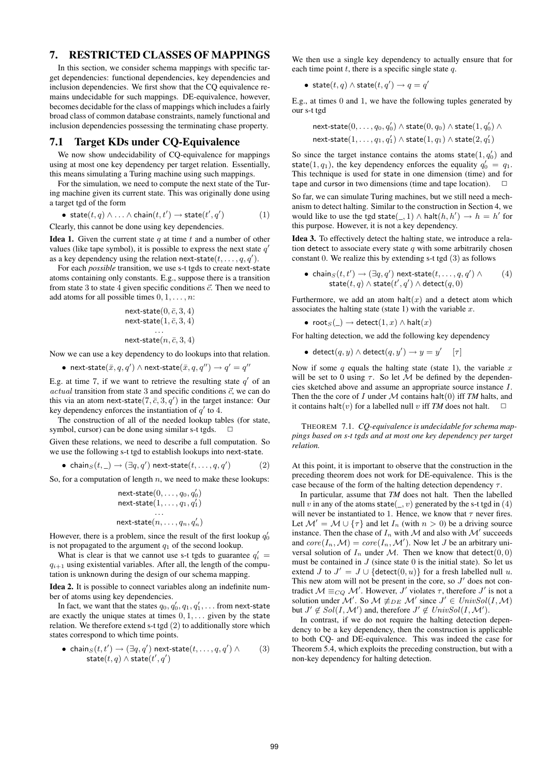## 7. RESTRICTED CLASSES OF MAPPINGS

In this section, we consider schema mappings with specific target dependencies: functional dependencies, key dependencies and inclusion dependencies. We first show that the CQ equivalence remains undecidable for such mappings. DE-equivalence, however, becomes decidable for the class of mappings which includes a fairly broad class of common database constraints, namely functional and inclusion dependencies possessing the terminating chase property.

# 7.1 Target KDs under CQ-Equivalence

We now show undecidability of CQ-equivalence for mappings using at most one key dependency per target relation. Essentially, this means simulating a Turing machine using such mappings.

For the simulation, we need to compute the next state of the Turing machine given its current state. This was originally done using a target tgd of the form

• state
$$
(t, q) \wedge \ldots \wedge \text{chain}(t, t') \rightarrow \text{state}(t', q')
$$
 (1)

Clearly, this cannot be done using key dependencies.

**Idea 1.** Given the current state q at time t and a number of other values (like tape symbol), it is possible to express the next state  $q'$ as a key dependency using the relation next-state  $(t, \ldots, q, q').$ 

For each *possible* transition, we use s-t tgds to create next-state atoms containing only constants. E.g., suppose there is a transition from state 3 to state 4 given specific conditions  $\vec{c}$ . Then we need to add atoms for all possible times  $0, 1, \ldots, n$ :

next-state(0, 
$$
\bar{c}
$$
, 3, 4)  
next-state(1,  $\bar{c}$ , 3, 4)  
...  
next-state(*n*,  $\bar{c}$ , 3, 4)

Now we can use a key dependency to do lookups into that relation.

• next-state $(\bar{x}, q, q') \land$  next-state $(\bar{x}, q, q'') \rightarrow q' = q''$ 

E.g. at time 7, if we want to retrieve the resulting state  $q'$  of an *actual* transition from state 3 and specific conditions  $\vec{c}$ , we can do this via an atom next-state $(7, \bar{c}, 3, q')$  in the target instance: Our key dependency enforces the instantiation of  $q'$  to 4.

The construction of all of the needed lookup tables (for state, symbol, cursor) can be done using similar s-t tgds.  $\Box$ 

Given these relations, we need to describe a full computation. So we use the following s-t tgd to establish lookups into next-state.

• 
$$
chain_S(t, \_) \rightarrow (\exists q, q') \text{ next-state}(t, \dots, q, q')
$$
 (2)

So, for a computation of length  $n$ , we need to make these lookups:

next-state
$$
(0, \ldots, q_0, q'_0)
$$
  
next-state $(1, \ldots, q_1, q'_1)$ 

$$
\mathsf{next}\text{-}\mathsf{state}(n,\ldots,q_n,q_n')
$$

However, there is a problem, since the result of the first lookup  $q'_0$ is not propagated to the argument  $q_1$  of the second lookup.

What is clear is that we cannot use s-t tgds to guarantee  $q_i' =$  $q_{i+1}$  using existential variables. After all, the length of the computation is unknown during the design of our schema mapping.

Idea 2. It is possible to connect variables along an indefinite number of atoms using key dependencies.

In fact, we want that the states  $q_0, q'_0, q_1, q'_1, \ldots$  from next-state are exactly the unique states at times  $0, 1, \ldots$  given by the state relation. We therefore extend s-t tgd (2) to additionally store which states correspond to which time points.

• 
$$
chain_S(t, t') \rightarrow (\exists q, q')
$$
 next-state $(t, \ldots, q, q') \land$  state $(t, q) \land$  state $(t', q')$  (3)

We then use a single key dependency to actually ensure that for each time point  $t$ , there is a specific single state  $q$ .

• state $(t, q) \wedge$  state $(t, q') \rightarrow q = q'$ 

E.g., at times 0 and 1, we have the following tuples generated by our s-t tgd

$$
\begin{aligned} &\text{next-state}(0,\ldots,q_0,q_0')\land\text{state}(0,q_0)\land\text{state}(1,q_0')\land\\ &\text{next-state}(1,\ldots,q_1,q_1')\land\text{state}(1,q_1)\land\text{state}(2,q_1')\end{aligned}
$$

So since the target instance contains the atoms state( $1, q'_0$ ) and state(1,  $q_1$ ), the key dependency enforces the equality  $q'_0 = q_1$ . This technique is used for state in one dimension (time) and for tape and cursor in two dimensions (time and tape location).  $\Box$ 

So far, we can simulate Turing machines, but we still need a mechanism to detect halting. Similar to the construction in Section 4, we would like to use the tgd state(, 1)  $\wedge$  halt $(h, h') \rightarrow h = h'$  for this purpose. However, it is not a key dependency.

Idea 3. To effectively detect the halting state, we introduce a relation detect to associate every state  $q$  with some arbitrarily chosen constant 0. We realize this by extending s-t tgd (3) as follows

• 
$$
chain_S(t, t') \rightarrow (\exists q, q') \text{ next-state}(t, \ldots, q, q') \land (4)
$$
\n $state(t, q) \land state(t', q') \land detect(q, 0)$ 

Furthermore, we add an atom halt $(x)$  and a detect atom which associates the halting state (state 1) with the variable  $x$ .

•  $\text{root}_S(\_) \to \text{detect}(1, x) \land \text{halt}(x)$ 

For halting detection, we add the following key dependency

• detect $(q, y) \wedge \text{detect}(q, y') \rightarrow y = y'$  $\lceil \tau \rceil$ 

Now if some q equals the halting state (state 1), the variable  $x$ will be set to 0 using  $\tau$ . So let M be defined by the dependencies sketched above and assume an appropriate source instance I. Then the the core of I under M contains halt(0) iff *TM* halts, and it contains halt $(v)$  for a labelled null v iff TM does not halt.

THEOREM 7.1. *CQ-equivalence is undecidable for schema mappings based on s-t tgds and at most one key dependency per target relation.*

At this point, it is important to observe that the construction in the preceding theorem does not work for DE-equivalence. This is the case because of the form of the halting detection dependency  $\tau$ .

In particular, assume that *TM* does not halt. Then the labelled null v in any of the atoms state(, v) generated by the s-t tgd in (4) will never be instantiated to 1. Hence, we know that  $\tau$  never fires. Let  $\mathcal{M}' = \mathcal{M} \cup \{\tau\}$  and let  $I_n$  (with  $n > 0$ ) be a driving source instance. Then the chase of  $I_n$  with M and also with M' succeeds and  $core(I_n, M) = core(I_n, M')$ . Now let J be an arbitrary universal solution of  $I_n$  under M. Then we know that detect(0,0) must be contained in  $J$  (since state 0 is the initial state). So let us extend *J* to  $J' = J \cup \{ \text{detect}(0, u) \}$  for a fresh labelled null u. This new atom will not be present in the core, so  $J'$  does not contradict  $M \equiv_{CQ} M'$ . However, J' violates  $\tau$ , therefore J' is not a solution under M'. So  $M \not\equiv_{DE} M'$  since  $J' \in UnivSol(I, M)$ but  $J' \notin Sol(I, \mathcal{M}')$  and, therefore  $J' \notin UnivSol(I, \mathcal{M}')$ .

In contrast, if we do not require the halting detection dependency to be a key dependency, then the construction is applicable to both CQ- and DE-equivalence. This was indeed the case for Theorem 5.4, which exploits the preceding construction, but with a non-key dependency for halting detection.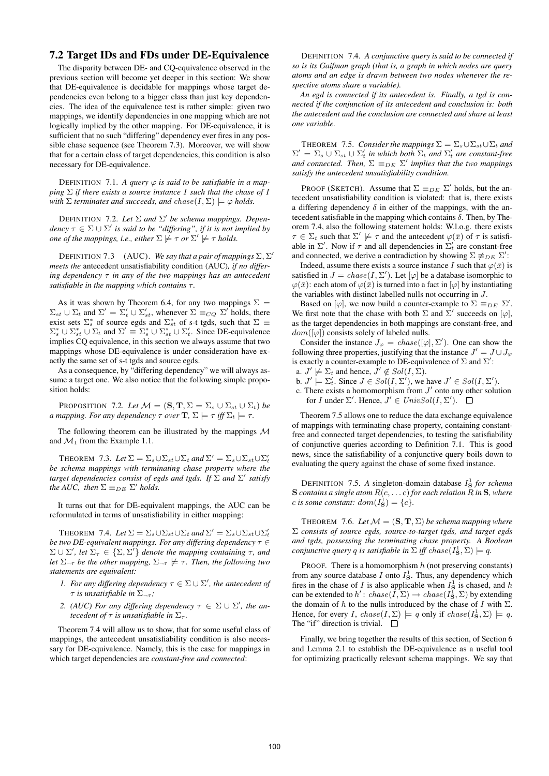#### 7.2 Target IDs and FDs under DE-Equivalence

The disparity between DE- and CQ-equivalence observed in the previous section will become yet deeper in this section: We show that DE-equivalence is decidable for mappings whose target dependencies even belong to a bigger class than just key dependencies. The idea of the equivalence test is rather simple: given two mappings, we identify dependencies in one mapping which are not logically implied by the other mapping. For DE-equivalence, it is sufficient that no such "differing" dependency ever fires in any possible chase sequence (see Theorem 7.3). Moreover, we will show that for a certain class of target dependencies, this condition is also necessary for DE-equivalence.

DEFINITION 7.1. A query  $\varphi$  is said to be satisfiable in a map*ping* Σ *if there exists a source instance* I *such that the chase of* I *with*  $\Sigma$  *terminates and succeeds, and chase*( $I, \Sigma$ )  $\models \varphi$  *holds.* 

DEFINITION 7.2. Let  $\Sigma$  and  $\Sigma'$  be schema mappings. Depen $dency \tau \in \Sigma \cup \Sigma'$  is said to be "differing", if it is not implied by *one of the mappings, i.e., either*  $\Sigma \not\models \tau$  *or*  $\Sigma' \not\models \tau$  *holds.* 

DEFINITION 7.3 (AUC). *We say that a pair of mappings*  $\Sigma$ ,  $\Sigma'$ *meets the* antecedent unsatisfiability condition (AUC)*, if no differing dependency* τ *in any of the two mappings has an antecedent satisfiable in the mapping which contains*  $τ$ *.* 

As it was shown by Theorem 6.4, for any two mappings  $\Sigma =$  $\Sigma_{st} \cup \Sigma_t$  and  $\Sigma' = \Sigma'_t \cup \Sigma'_{st}$ , whenever  $\Sigma \equiv_{CQ} \Sigma'$  holds, there exist sets  $\Sigma_s^*$  of source egds and  $\Sigma_{st}^*$  of s-t tgds, such that  $\Sigma \equiv$  $\Sigma_s^* \cup \Sigma_{st}^* \cup \Sigma_t$  and  $\Sigma' \equiv \Sigma_s^* \cup \Sigma_{st}^* \cup \Sigma_t'$ . Since DE-equivalence implies CQ equivalence, in this section we always assume that two mappings whose DE-equivalence is under consideration have exactly the same set of s-t tgds and source egds.

As a consequence, by "differing dependency" we will always assume a target one. We also notice that the following simple proposition holds:

PROPOSITION 7.2. Let  $\mathcal{M} = (\mathbf{S}, \mathbf{T}, \Sigma = \Sigma_s \cup \Sigma_{st} \cup \Sigma_t)$  be *a* mapping. For any dependency  $\tau$  over **T**,  $\Sigma \models \tau$  iff  $\Sigma_t \models \tau$ .

The following theorem can be illustrated by the mappings  $M$ and  $\mathcal{M}_1$  from the Example 1.1.

THEOREM 7.3. Let  $\Sigma = \sum_s \cup \sum_{st} \cup \sum_t$  and  $\Sigma' = \sum_s \cup \sum_{st} \cup \Sigma'_t$ *be schema mappings with terminating chase property where the target dependencies consist of egds and tgds. If* Σ *and* Σ 0 *satisfy the AUC, then*  $\Sigma \equiv_{DE} \Sigma'$  *holds.* 

It turns out that for DE-equivalent mappings, the AUC can be reformulated in terms of unsatisfiability in either mapping:

THEOREM 7.4. Let  $\Sigma = \sum_s \cup \sum_{st} \cup \sum_t$  and  $\Sigma' = \sum_s \cup \sum_{st} \cup \sum'_{t}$ *be two DE-equivalent mappings. For any differing dependency*  $τ ∈$  $\Sigma \cup \Sigma'$ , let  $\Sigma_{\tau} \in {\Sigma, \Sigma'}$  *denote the mapping containing*  $\tau$ *, and let*  $\Sigma_{\neg \tau}$  *be the other mapping,*  $\Sigma_{\neg \tau} \not\models \tau$ *. Then, the following two statements are equivalent:*

- *1. For any differing dependency*  $\tau \in \Sigma \cup \Sigma'$ , the antecedent of  $\tau$  *is unsatisfiable in*  $\Sigma_{\tau\tau}$ *;*
- 2. (AUC) For any differing dependency  $\tau \in \Sigma \cup \Sigma'$ , the an*tecedent of*  $\tau$  *is unsatisfiable in*  $\Sigma_{\tau}$ *.*

Theorem 7.4 will allow us to show, that for some useful class of mappings, the antecedent unsatisfiability condition is also necessary for DE-equivalence. Namely, this is the case for mappings in which target dependencies are *constant-free and connected*:

DEFINITION 7.4. *A conjunctive query is said to be connected if so is its Gaifman graph (that is, a graph in which nodes are query atoms and an edge is drawn between two nodes whenever the respective atoms share a variable).*

*An egd is connected if its antecedent is. Finally, a tgd is connected if the conjunction of its antecedent and conclusion is: both the antecedent and the conclusion are connected and share at least one variable.*

THEOREM 7.5. *Consider the mappings*  $\Sigma = \sum_{s} \bigcup \sum_{st} \bigcup \sum_{t}$  and  $\Sigma' = \Sigma_s \cup \Sigma_{st} \cup \Sigma'_t$  *in which both*  $\Sigma_t$  *and*  $\Sigma'_t$  *are constant-free* and connected. Then,  $\Sigma \equiv_{DE} \Sigma'$  implies that the two mappings *satisfy the antecedent unsatisfiability condition.*

PROOF (SKETCH). Assume that  $\Sigma \equiv_{DE} \Sigma'$  holds, but the antecedent unsatisfiability condition is violated: that is, there exists a differing dependency  $\delta$  in either of the mappings, with the antecedent satisfiable in the mapping which contains  $\delta$ . Then, by Theorem 7.4, also the following statement holds: W.l.o.g. there exists  $\tau \in \Sigma_t$  such that  $\Sigma' \not\models \tau$  and the antecedent  $\varphi(\bar{x})$  of  $\tau$  is satisfiable in  $\Sigma'$ . Now if  $\tau$  and all dependencies in  $\Sigma'_t$  are constant-free and connected, we derive a contradiction by showing  $\Sigma \not\equiv_{DE} \Sigma'$ :

Indeed, assume there exists a source instance I such that  $\varphi(\bar{x})$  is satisfied in  $J = \text{chase}(I, \Sigma')$ . Let  $[\varphi]$  be a database isomorphic to  $\varphi(\bar{x})$ : each atom of  $\varphi(\bar{x})$  is turned into a fact in  $[\varphi]$  by instantiating the variables with distinct labelled nulls not occurring in  $J$ .

Based on [ $\varphi$ ], we now build a counter-example to  $\Sigma \equiv_{DE} \Sigma'$ . We first note that the chase with both  $\Sigma$  and  $\Sigma'$  succeeds on  $[\varphi]$ , as the target dependencies in both mappings are constant-free, and  $dom([\varphi])$  consists solely of labeled nulls.

Consider the instance  $J_{\varphi} = \text{chase}([\varphi], \Sigma')$ . One can show the following three properties, justifying that the instance  $J' = J \cup J_{\varphi}$ is exactly a counter-example to DE-equivalence of  $\Sigma$  and  $\Sigma'$ :

- a.  $J' \not\models \Sigma_t$  and hence,  $J' \not\in Sol(I, \Sigma)$ .
- b.  $J' \models \Sigma'_t$ . Since  $J \in Sol(I, \Sigma')$ , we have  $J' \in Sol(I, \Sigma')$ .
- c. There exists a homomorphism from  $J'$  onto any other solution for *I* under  $\Sigma'$ . Hence,  $J' \in UnivSol(I, \Sigma')$ .

Theorem 7.5 allows one to reduce the data exchange equivalence of mappings with terminating chase property, containing constantfree and connected target dependencies, to testing the satisfiability of conjunctive queries according to Definition 7.1. This is good news, since the satisfiability of a conjunctive query boils down to evaluating the query against the chase of some fixed instance.

DEFINITION 7.5. A singleton-domain database  $I_S^1$  *for schema* S *contains a single atom* R(c, . . . c)*for each relation* R *in* S*, where* c is some constant:  $dom(I_{\mathbf{S}}^{\mathbf{i}}) = \{c\}.$ 

THEOREM 7.6. Let  $M = (\mathbf{S}, \mathbf{T}, \Sigma)$  be schema mapping where Σ *consists of source egds, source-to-target tgds, and target egds and tgds, possessing the terminating chase property. A Boolean conjunctive query* q *is satisfiable in*  $\Sigma$  *iff*  $chase(I<sub>S</sub><sup>1</sup>, \Sigma) \models q$ .

PROOF. There is a homomorphism  $h$  (not preserving constants) from any source database I onto  $I<sub>S</sub><sup>1</sup>$ . Thus, any dependency which fires in the chase of I is also applicable when  $I_S^1$  is chased, and h can be extended to  $h' \colon \mathit{chase}(I, \Sigma) \to \mathit{chase}(I^1_{\bf S}, \Sigma)$  by extending the domain of h to the nulls introduced by the chase of I with  $\Sigma$ . Hence, for every *I*,  $chase(I, \Sigma) \models q$  only if  $chase(I^1_S, \Sigma) \models q$ . The "if" direction is trivial.  $\Box$ 

Finally, we bring together the results of this section, of Section 6 and Lemma 2.1 to establish the DE-equivalence as a useful tool for optimizing practically relevant schema mappings. We say that